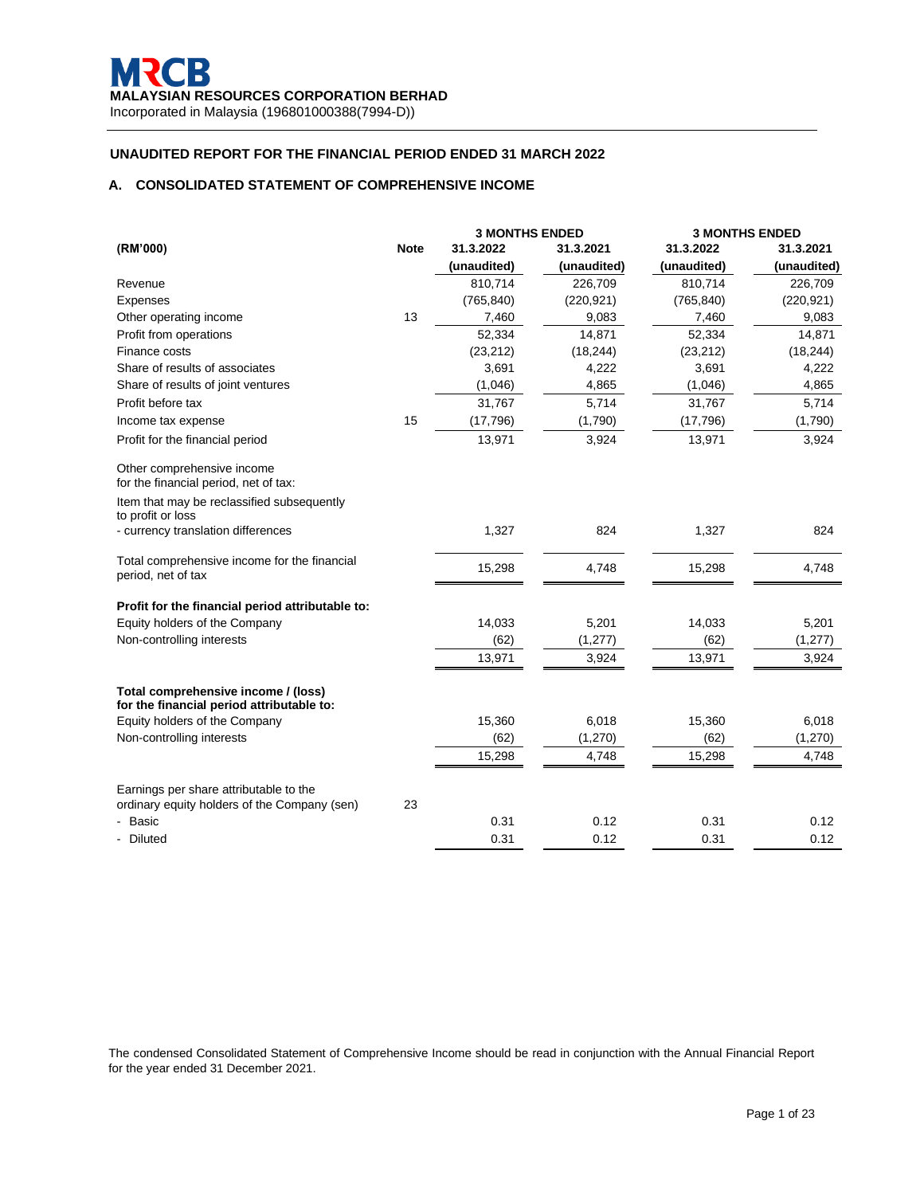# **A. CONSOLIDATED STATEMENT OF COMPREHENSIVE INCOME**

|                                                                                        |             |             | <b>3 MONTHS ENDED</b> | <b>3 MONTHS ENDED</b> |             |
|----------------------------------------------------------------------------------------|-------------|-------------|-----------------------|-----------------------|-------------|
| (RM'000)                                                                               | <b>Note</b> | 31.3.2022   | 31.3.2021             | 31.3.2022             | 31.3.2021   |
|                                                                                        |             | (unaudited) | (unaudited)           | (unaudited)           | (unaudited) |
| Revenue                                                                                |             | 810,714     | 226,709               | 810,714               | 226,709     |
| Expenses                                                                               |             | (765, 840)  | (220, 921)            | (765, 840)            | (220, 921)  |
| Other operating income                                                                 | 13          | 7,460       | 9,083                 | 7,460                 | 9,083       |
| Profit from operations                                                                 |             | 52,334      | 14,871                | 52,334                | 14,871      |
| Finance costs                                                                          |             | (23, 212)   | (18, 244)             | (23, 212)             | (18, 244)   |
| Share of results of associates                                                         |             | 3,691       | 4,222                 | 3,691                 | 4,222       |
| Share of results of joint ventures                                                     |             | (1,046)     | 4,865                 | (1,046)               | 4,865       |
| Profit before tax                                                                      |             | 31,767      | 5,714                 | 31,767                | 5,714       |
| Income tax expense                                                                     | 15          | (17,796)    | (1,790)               | (17,796)              | (1,790)     |
| Profit for the financial period                                                        |             | 13,971      | 3,924                 | 13,971                | 3,924       |
| Other comprehensive income<br>for the financial period, net of tax:                    |             |             |                       |                       |             |
| Item that may be reclassified subsequently<br>to profit or loss                        |             |             |                       |                       |             |
| - currency translation differences                                                     |             | 1,327       | 824                   | 1,327                 | 824         |
| Total comprehensive income for the financial<br>period, net of tax                     |             | 15,298      | 4,748                 | 15,298                | 4,748       |
| Profit for the financial period attributable to:                                       |             |             |                       |                       |             |
| Equity holders of the Company                                                          |             | 14,033      | 5,201                 | 14,033                | 5,201       |
| Non-controlling interests                                                              |             | (62)        | (1, 277)              | (62)                  | (1, 277)    |
|                                                                                        |             | 13,971      | 3,924                 | 13,971                | 3,924       |
| Total comprehensive income / (loss)<br>for the financial period attributable to:       |             |             |                       |                       |             |
| Equity holders of the Company                                                          |             | 15,360      | 6,018                 | 15,360                | 6,018       |
| Non-controlling interests                                                              |             | (62)        | (1, 270)              | (62)                  | (1, 270)    |
|                                                                                        |             | 15,298      | 4,748                 | 15,298                | 4,748       |
| Earnings per share attributable to the<br>ordinary equity holders of the Company (sen) | 23          |             |                       |                       |             |
| Basic                                                                                  |             | 0.31        | 0.12                  | 0.31                  | 0.12        |
| Diluted                                                                                |             | 0.31        | 0.12                  | 0.31                  | 0.12        |

The condensed Consolidated Statement of Comprehensive Income should be read in conjunction with the Annual Financial Report for the year ended 31 December 2021.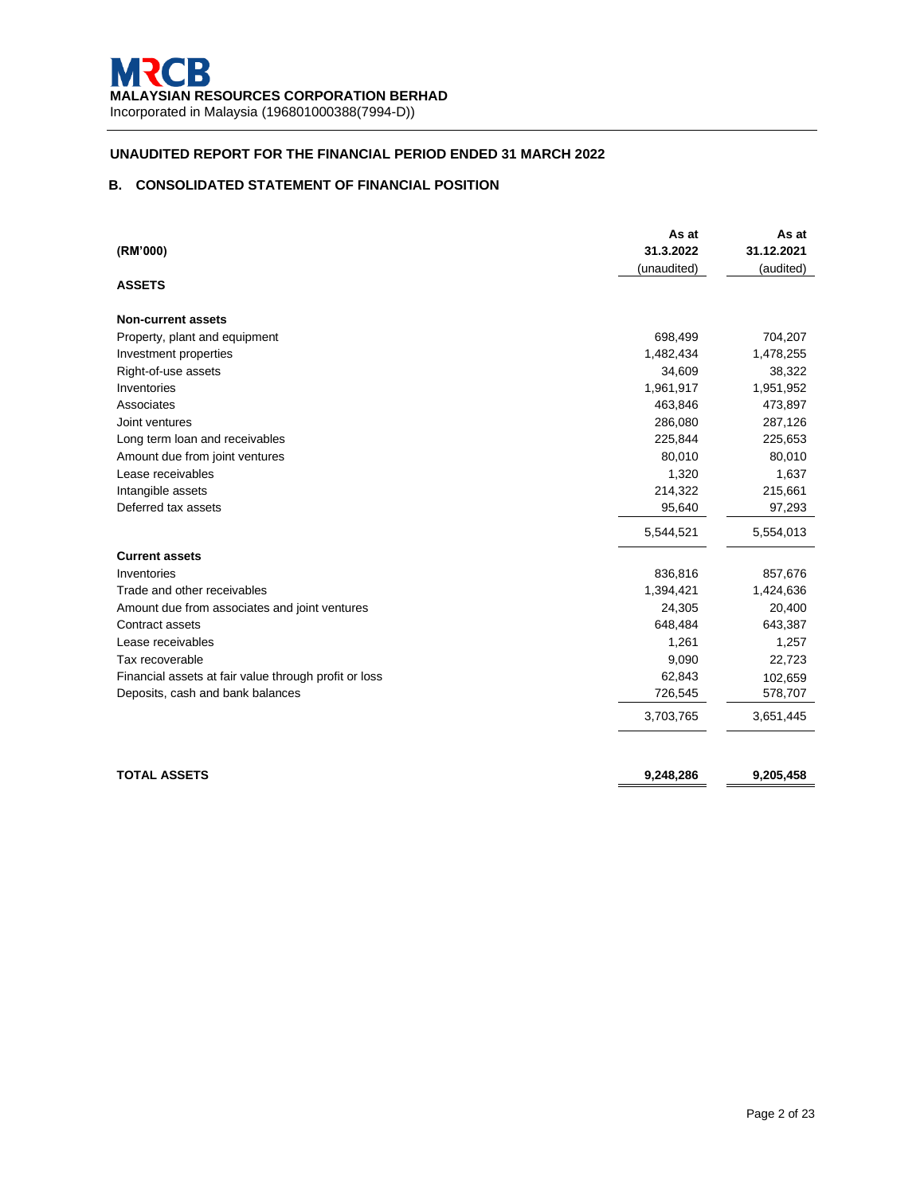# **B. CONSOLIDATED STATEMENT OF FINANCIAL POSITION**

| (RM'000)                                              | As at<br>31.3.2022<br>(unaudited) | As at<br>31.12.2021<br>(audited) |
|-------------------------------------------------------|-----------------------------------|----------------------------------|
| <b>ASSETS</b>                                         |                                   |                                  |
| <b>Non-current assets</b>                             |                                   |                                  |
| Property, plant and equipment                         | 698,499                           | 704,207                          |
| Investment properties                                 | 1,482,434                         | 1,478,255                        |
| Right-of-use assets                                   | 34,609                            | 38,322                           |
| Inventories                                           | 1,961,917                         | 1,951,952                        |
| Associates                                            | 463,846                           | 473,897                          |
| Joint ventures                                        | 286,080                           | 287,126                          |
| Long term loan and receivables                        | 225,844                           | 225,653                          |
| Amount due from joint ventures                        | 80,010                            | 80,010                           |
| Lease receivables                                     | 1,320                             | 1,637                            |
| Intangible assets                                     | 214,322                           | 215,661                          |
| Deferred tax assets                                   | 95,640                            | 97,293                           |
|                                                       | 5,544,521                         | 5,554,013                        |
| <b>Current assets</b>                                 |                                   |                                  |
| Inventories                                           | 836,816                           | 857,676                          |
| Trade and other receivables                           | 1,394,421                         | 1,424,636                        |
| Amount due from associates and joint ventures         | 24,305                            | 20,400                           |
| Contract assets                                       | 648,484                           | 643,387                          |
| Lease receivables                                     | 1,261                             | 1,257                            |
| Tax recoverable                                       | 9,090                             | 22,723                           |
| Financial assets at fair value through profit or loss | 62,843                            | 102,659                          |
| Deposits, cash and bank balances                      | 726,545                           | 578,707                          |
|                                                       | 3,703,765                         | 3,651,445                        |
|                                                       |                                   |                                  |
| <b>TOTAL ASSETS</b>                                   | 9,248,286                         | 9,205,458                        |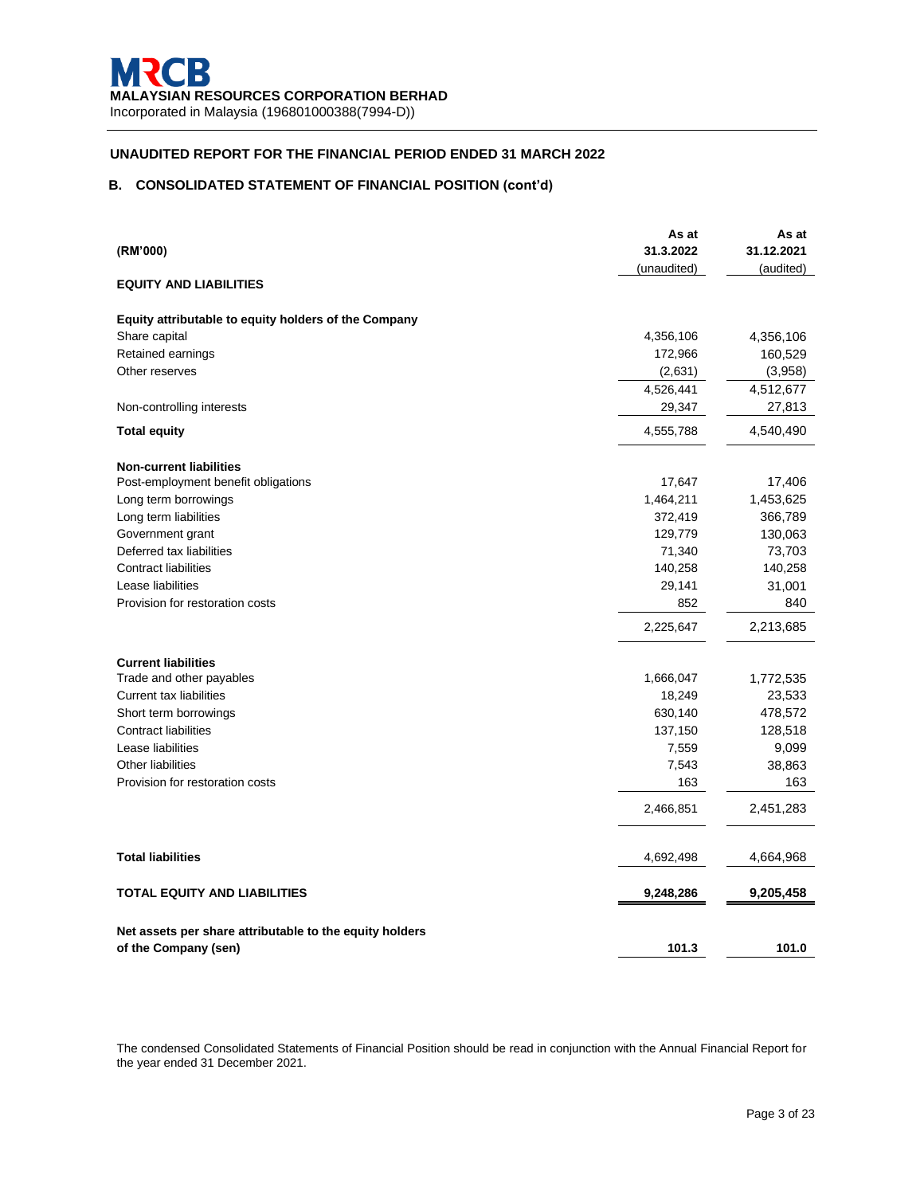## **B. CONSOLIDATED STATEMENT OF FINANCIAL POSITION (cont'd)**

|                                                         | As at       | As at      |
|---------------------------------------------------------|-------------|------------|
| (RM'000)                                                | 31.3.2022   | 31.12.2021 |
|                                                         | (unaudited) | (audited)  |
| <b>EQUITY AND LIABILITIES</b>                           |             |            |
| Equity attributable to equity holders of the Company    |             |            |
| Share capital                                           | 4,356,106   | 4,356,106  |
| Retained earnings                                       | 172,966     | 160,529    |
| Other reserves                                          | (2,631)     | (3,958)    |
|                                                         | 4,526,441   | 4,512,677  |
| Non-controlling interests                               | 29,347      | 27,813     |
| <b>Total equity</b>                                     | 4,555,788   | 4,540,490  |
| <b>Non-current liabilities</b>                          |             |            |
| Post-employment benefit obligations                     | 17,647      | 17,406     |
| Long term borrowings                                    | 1,464,211   | 1,453,625  |
| Long term liabilities                                   | 372,419     | 366,789    |
| Government grant                                        | 129,779     | 130,063    |
| Deferred tax liabilities                                | 71,340      | 73,703     |
| <b>Contract liabilities</b>                             | 140,258     | 140,258    |
| Lease liabilities                                       | 29,141      | 31,001     |
| Provision for restoration costs                         | 852         | 840        |
|                                                         | 2,225,647   | 2,213,685  |
| <b>Current liabilities</b>                              |             |            |
| Trade and other payables                                | 1,666,047   | 1,772,535  |
| <b>Current tax liabilities</b>                          | 18,249      | 23,533     |
| Short term borrowings                                   | 630,140     | 478,572    |
| <b>Contract liabilities</b>                             | 137,150     | 128,518    |
| Lease liabilities                                       | 7,559       | 9,099      |
| <b>Other liabilities</b>                                | 7,543       | 38,863     |
| Provision for restoration costs                         | 163         | 163        |
|                                                         | 2,466,851   | 2,451,283  |
| <b>Total liabilities</b>                                | 4,692,498   | 4,664,968  |
| <b>TOTAL EQUITY AND LIABILITIES</b>                     | 9,248,286   | 9,205,458  |
| Net assets per share attributable to the equity holders |             |            |
| of the Company (sen)                                    | 101.3       | 101.0      |

The condensed Consolidated Statements of Financial Position should be read in conjunction with the Annual Financial Report for the year ended 31 December 2021.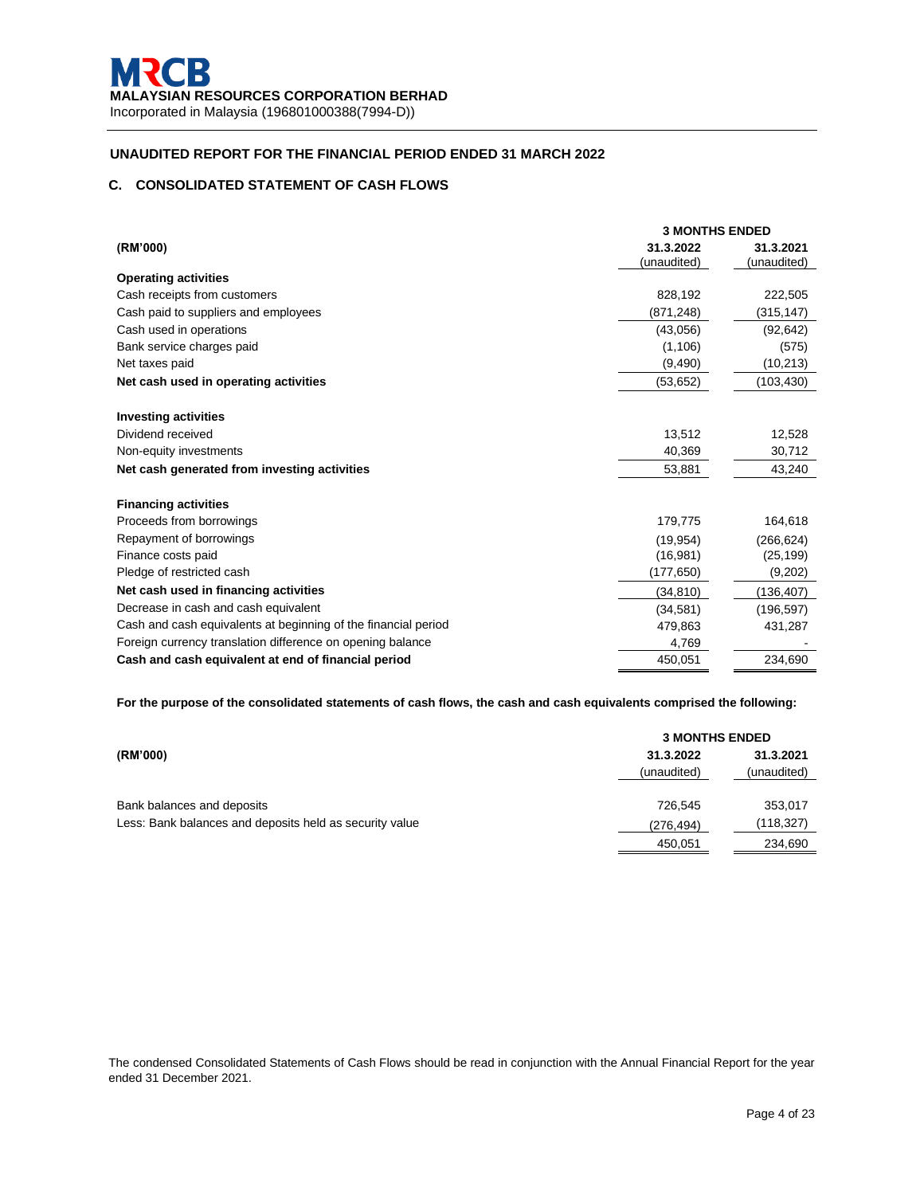# **C. CONSOLIDATED STATEMENT OF CASH FLOWS**

|                                                                | <b>3 MONTHS ENDED</b>    |                          |  |  |
|----------------------------------------------------------------|--------------------------|--------------------------|--|--|
| (RM'000)                                                       | 31.3.2022<br>(unaudited) | 31.3.2021<br>(unaudited) |  |  |
| <b>Operating activities</b>                                    |                          |                          |  |  |
| Cash receipts from customers                                   | 828,192                  | 222,505                  |  |  |
| Cash paid to suppliers and employees                           | (871, 248)               | (315,147)                |  |  |
| Cash used in operations                                        | (43,056)                 | (92, 642)                |  |  |
| Bank service charges paid                                      | (1, 106)                 | (575)                    |  |  |
| Net taxes paid                                                 | (9, 490)                 | (10, 213)                |  |  |
| Net cash used in operating activities                          | (53, 652)                | (103, 430)               |  |  |
| <b>Investing activities</b>                                    |                          |                          |  |  |
| Dividend received                                              | 13,512                   | 12,528                   |  |  |
| Non-equity investments                                         | 40,369                   | 30,712                   |  |  |
| Net cash generated from investing activities                   | 53,881                   | 43,240                   |  |  |
| <b>Financing activities</b>                                    |                          |                          |  |  |
| Proceeds from borrowings                                       | 179,775                  | 164,618                  |  |  |
| Repayment of borrowings                                        | (19, 954)                | (266, 624)               |  |  |
| Finance costs paid                                             | (16,981)                 | (25, 199)                |  |  |
| Pledge of restricted cash                                      | (177, 650)               | (9,202)                  |  |  |
| Net cash used in financing activities                          | (34, 810)                | (136, 407)               |  |  |
| Decrease in cash and cash equivalent                           | (34, 581)                | (196, 597)               |  |  |
| Cash and cash equivalents at beginning of the financial period | 479,863                  | 431,287                  |  |  |
| Foreign currency translation difference on opening balance     | 4,769                    |                          |  |  |
| Cash and cash equivalent at end of financial period            | 450,051                  | 234,690                  |  |  |

**For the purpose of the consolidated statements of cash flows, the cash and cash equivalents comprised the following:**

|                                                         |             | <b>3 MONTHS ENDED</b> |  |  |  |
|---------------------------------------------------------|-------------|-----------------------|--|--|--|
| (RM'000)                                                | 31.3.2022   | 31.3.2021             |  |  |  |
|                                                         | (unaudited) | (unaudited)           |  |  |  |
|                                                         |             |                       |  |  |  |
| Bank balances and deposits                              | 726.545     | 353,017               |  |  |  |
| Less: Bank balances and deposits held as security value | (276, 494)  | (118, 327)            |  |  |  |
|                                                         | 450,051     | 234,690               |  |  |  |

The condensed Consolidated Statements of Cash Flows should be read in conjunction with the Annual Financial Report for the year ended 31 December 2021.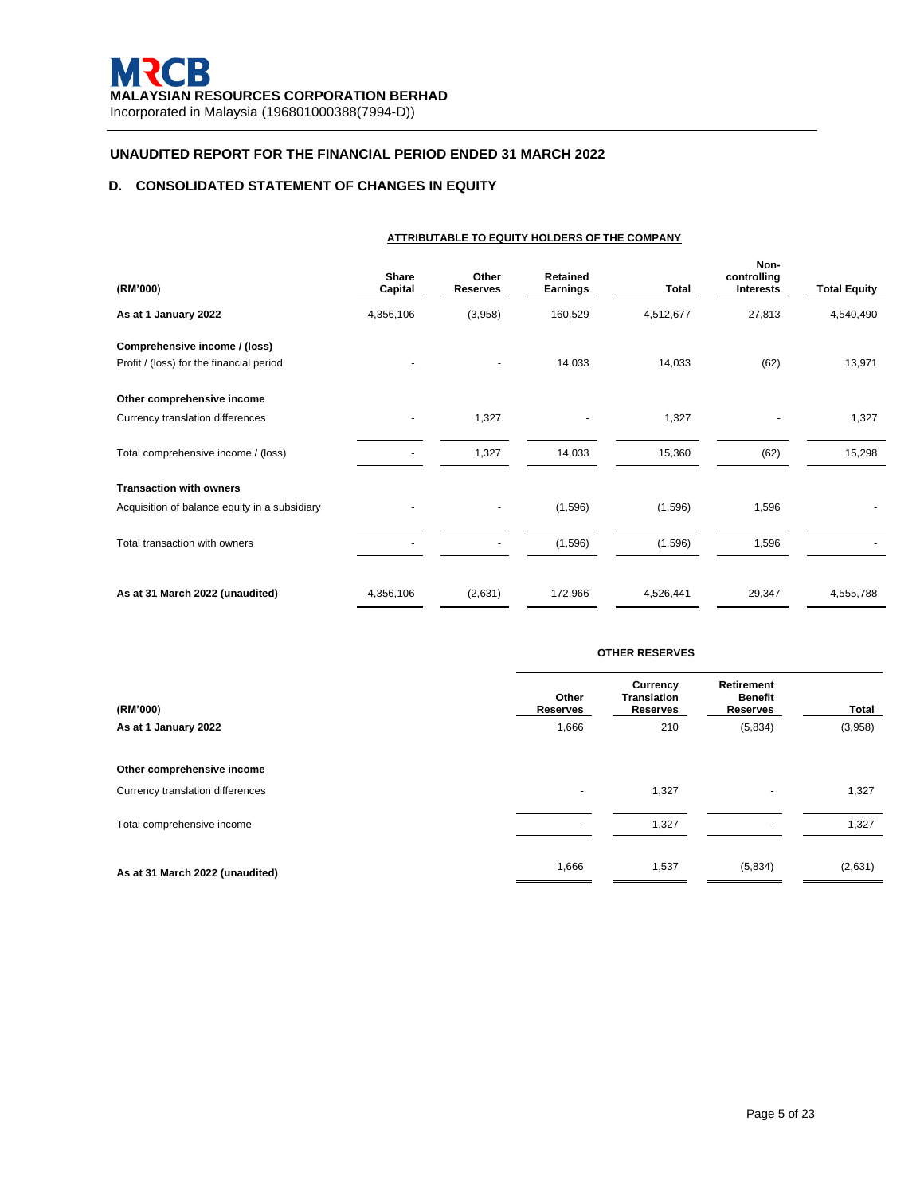# **D. CONSOLIDATED STATEMENT OF CHANGES IN EQUITY**

| ATTRIBUTABLE TO EQUITY HOLDERS OF THE COMPANY                             |                          |                          |                      |           |                                         |                     |
|---------------------------------------------------------------------------|--------------------------|--------------------------|----------------------|-----------|-----------------------------------------|---------------------|
| (RM'000)                                                                  | <b>Share</b><br>Capital  | Other<br><b>Reserves</b> | Retained<br>Earnings | Total     | Non-<br>controlling<br><b>Interests</b> | <b>Total Equity</b> |
| As at 1 January 2022                                                      | 4,356,106                | (3,958)                  | 160,529              | 4,512,677 | 27,813                                  | 4,540,490           |
| Comprehensive income / (loss)<br>Profit / (loss) for the financial period |                          | $\blacksquare$           | 14,033               | 14,033    | (62)                                    | 13,971              |
| Other comprehensive income                                                |                          |                          |                      |           |                                         |                     |
| Currency translation differences                                          |                          | 1,327                    |                      | 1,327     |                                         | 1,327               |
| Total comprehensive income / (loss)                                       | $\overline{\phantom{0}}$ | 1,327                    | 14,033               | 15,360    | (62)                                    | 15,298              |
| <b>Transaction with owners</b>                                            |                          |                          |                      |           |                                         |                     |
| Acquisition of balance equity in a subsidiary                             |                          |                          | (1,596)              | (1,596)   | 1,596                                   |                     |
| Total transaction with owners                                             |                          | $\blacksquare$           | (1,596)              | (1,596)   | 1,596                                   |                     |
| As at 31 March 2022 (unaudited)                                           | 4,356,106                | (2,631)                  | 172,966              | 4,526,441 | 29,347                                  | 4,555,788           |

|                                  | <b>OTHER RESERVES</b>    |                                                          |                                                 |         |  |
|----------------------------------|--------------------------|----------------------------------------------------------|-------------------------------------------------|---------|--|
| (RM'000)                         | Other<br><b>Reserves</b> | <b>Currency</b><br><b>Translation</b><br><b>Reserves</b> | Retirement<br><b>Benefit</b><br><b>Reserves</b> | Total   |  |
| As at 1 January 2022             | 1,666                    | 210                                                      | (5,834)                                         | (3,958) |  |
| Other comprehensive income       |                          |                                                          |                                                 |         |  |
| Currency translation differences | $\overline{\phantom{0}}$ | 1,327                                                    |                                                 | 1,327   |  |
| Total comprehensive income       |                          | 1,327                                                    |                                                 | 1,327   |  |
| As at 31 March 2022 (unaudited)  | 1,666                    | 1,537                                                    | (5,834)                                         | (2,631) |  |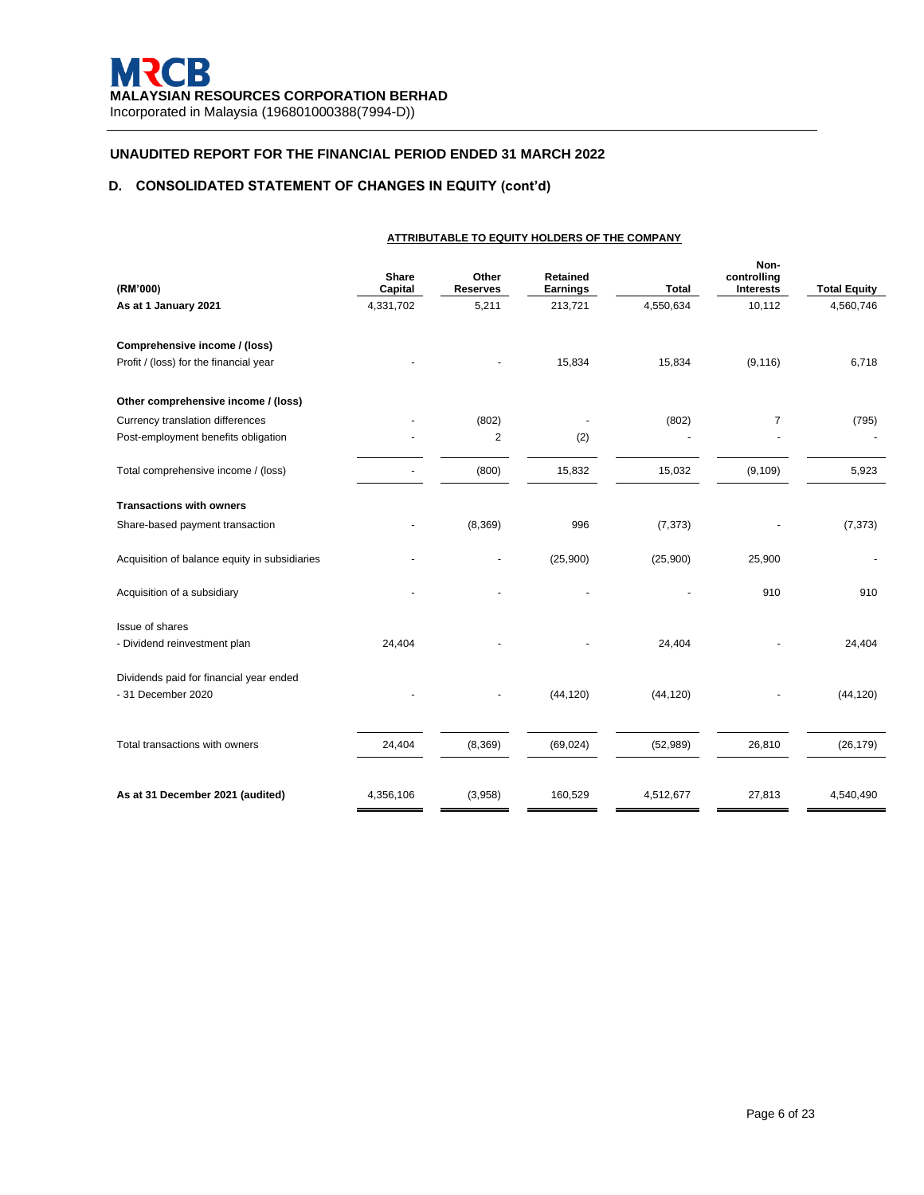# **D. CONSOLIDATED STATEMENT OF CHANGES IN EQUITY (cont'd)**

|                                                                         | ATTRIBUTABLE TO EQUITY HOLDERS OF THE COMPANY |                          |                             |              |                                         |                     |  |
|-------------------------------------------------------------------------|-----------------------------------------------|--------------------------|-----------------------------|--------------|-----------------------------------------|---------------------|--|
| (RM'000)                                                                | Share<br>Capital                              | Other<br><b>Reserves</b> | <b>Retained</b><br>Earnings | <b>Total</b> | Non-<br>controlling<br><b>Interests</b> | <b>Total Equity</b> |  |
| As at 1 January 2021                                                    | 4,331,702                                     | 5,211                    | 213,721                     | 4,550,634    | 10,112                                  | 4,560,746           |  |
| Comprehensive income / (loss)<br>Profit / (loss) for the financial year |                                               |                          | 15,834                      | 15,834       | (9, 116)                                | 6,718               |  |
| Other comprehensive income / (loss)                                     |                                               |                          |                             |              |                                         |                     |  |
| Currency translation differences                                        |                                               | (802)                    |                             | (802)        | 7                                       | (795)               |  |
| Post-employment benefits obligation                                     |                                               | 2                        | (2)                         |              |                                         |                     |  |
| Total comprehensive income / (loss)                                     |                                               | (800)                    | 15,832                      | 15,032       | (9, 109)                                | 5,923               |  |
| <b>Transactions with owners</b>                                         |                                               |                          |                             |              |                                         |                     |  |
| Share-based payment transaction                                         |                                               | (8, 369)                 | 996                         | (7, 373)     |                                         | (7, 373)            |  |
| Acquisition of balance equity in subsidiaries                           |                                               |                          | (25,900)                    | (25,900)     | 25,900                                  |                     |  |
| Acquisition of a subsidiary                                             |                                               |                          |                             |              | 910                                     | 910                 |  |
| Issue of shares                                                         |                                               |                          |                             |              |                                         |                     |  |
| - Dividend reinvestment plan                                            | 24,404                                        |                          |                             | 24,404       |                                         | 24,404              |  |
| Dividends paid for financial year ended<br>- 31 December 2020           |                                               |                          | (44, 120)                   | (44, 120)    |                                         | (44, 120)           |  |
| Total transactions with owners                                          | 24,404                                        | (8,369)                  | (69, 024)                   | (52, 989)    | 26,810                                  | (26, 179)           |  |
| As at 31 December 2021 (audited)                                        | 4,356,106                                     | (3,958)                  | 160,529                     | 4,512,677    | 27,813                                  | 4,540,490           |  |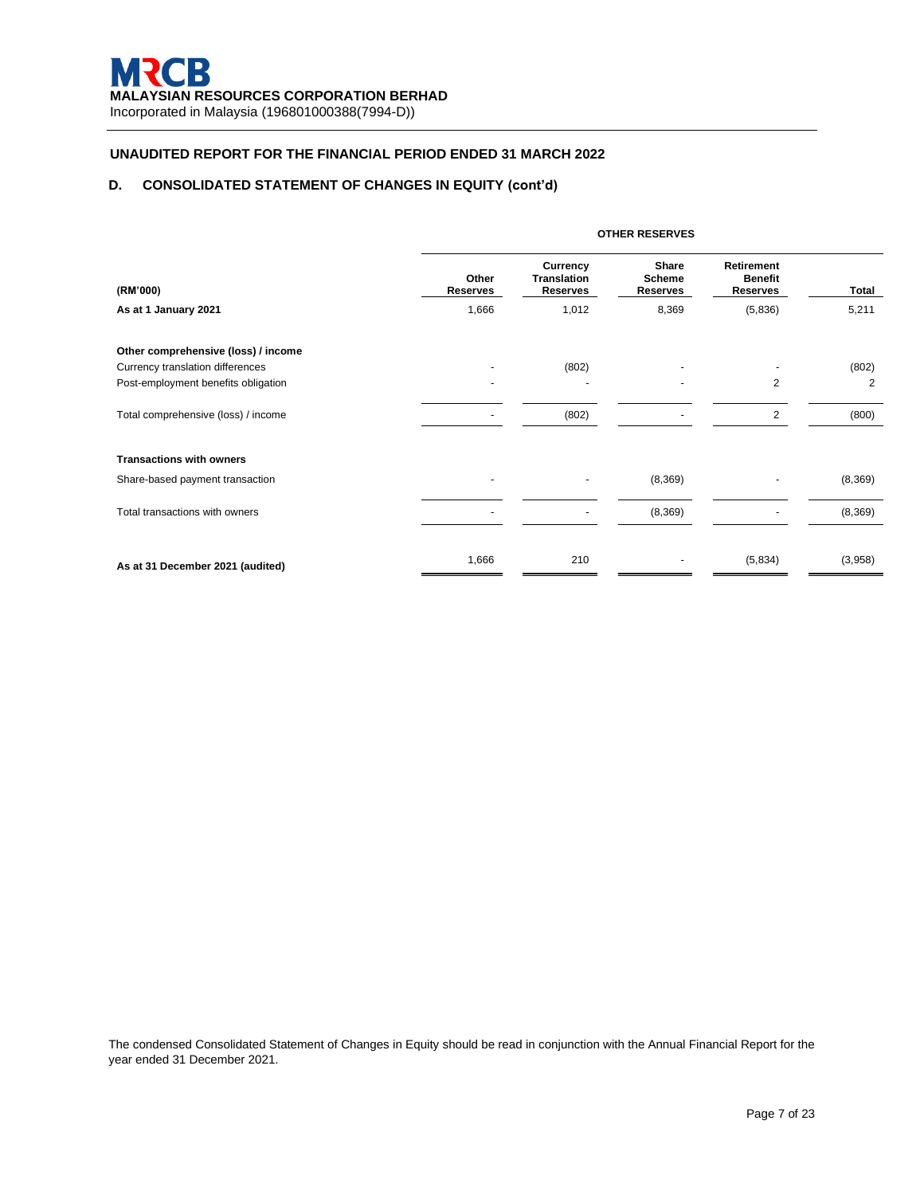## **D. CONSOLIDATED STATEMENT OF CHANGES IN EQUITY (cont'd)**

|                                     | <b>OTHER RESERVES</b>    |                                                          |                                    |                                                 |          |
|-------------------------------------|--------------------------|----------------------------------------------------------|------------------------------------|-------------------------------------------------|----------|
| (RM'000)                            | Other<br><b>Reserves</b> | <b>Currency</b><br><b>Translation</b><br><b>Reserves</b> | Share<br><b>Scheme</b><br>Reserves | Retirement<br><b>Benefit</b><br><b>Reserves</b> | Total    |
| As at 1 January 2021                | 1,666                    | 1,012                                                    | 8,369                              | (5,836)                                         | 5,211    |
| Other comprehensive (loss) / income |                          |                                                          |                                    |                                                 |          |
| Currency translation differences    |                          | (802)                                                    |                                    |                                                 | (802)    |
| Post-employment benefits obligation |                          |                                                          |                                    | $\overline{2}$                                  | 2        |
| Total comprehensive (loss) / income |                          | (802)                                                    |                                    | $\overline{2}$                                  | (800)    |
| <b>Transactions with owners</b>     |                          |                                                          |                                    |                                                 |          |
| Share-based payment transaction     |                          |                                                          | (8, 369)                           |                                                 | (8, 369) |
| Total transactions with owners      |                          |                                                          | (8, 369)                           |                                                 | (8, 369) |
| As at 31 December 2021 (audited)    | 1,666                    | 210                                                      |                                    | (5,834)                                         | (3,958)  |

The condensed Consolidated Statement of Changes in Equity should be read in conjunction with the Annual Financial Report for the year ended 31 December 2021.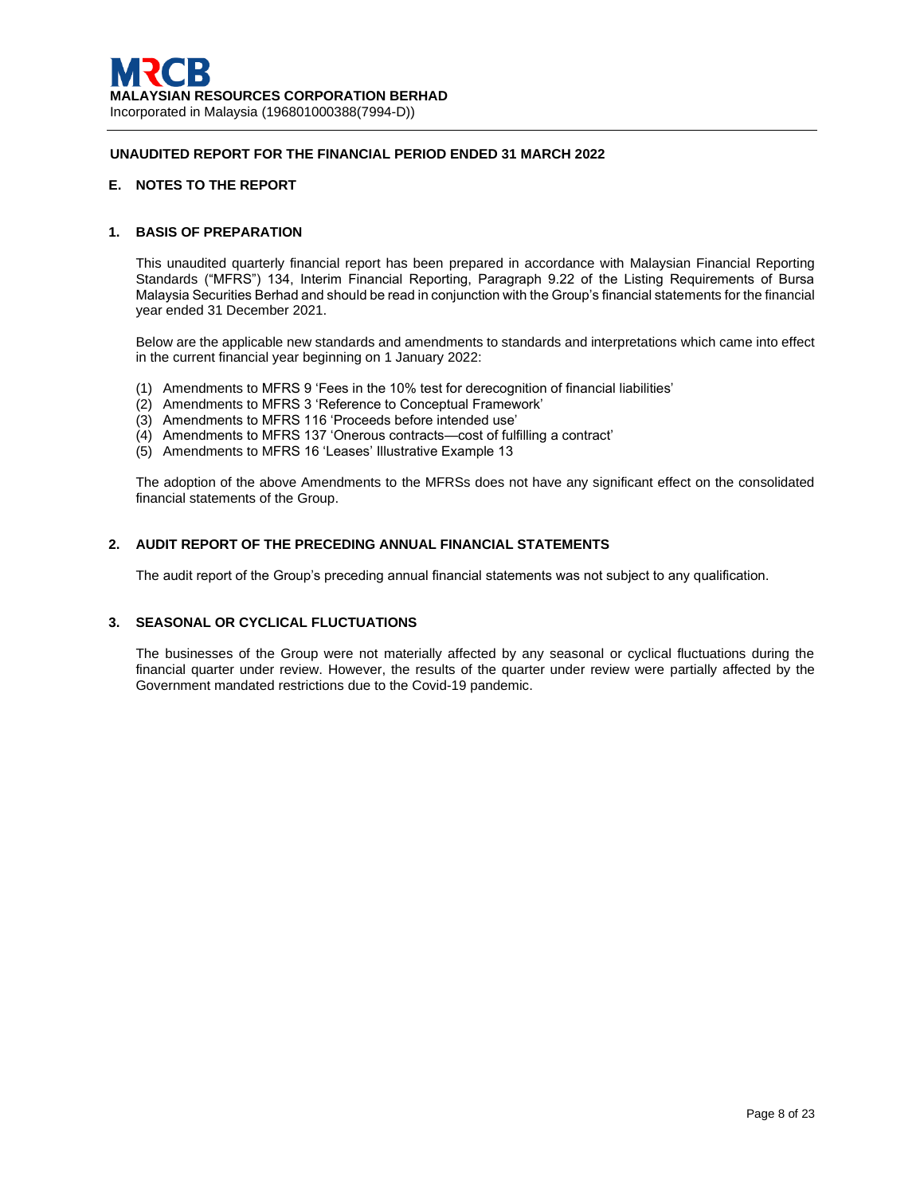## **E. NOTES TO THE REPORT**

## **1. BASIS OF PREPARATION**

This unaudited quarterly financial report has been prepared in accordance with Malaysian Financial Reporting Standards ("MFRS") 134, Interim Financial Reporting, Paragraph 9.22 of the Listing Requirements of Bursa Malaysia Securities Berhad and should be read in conjunction with the Group's financial statements for the financial year ended 31 December 2021.

Below are the applicable new standards and amendments to standards and interpretations which came into effect in the current financial year beginning on 1 January 2022:

- (1) Amendments to MFRS 9 'Fees in the 10% test for derecognition of financial liabilities'
- (2) Amendments to MFRS 3 'Reference to Conceptual Framework'
- (3) Amendments to MFRS 116 'Proceeds before intended use'
- (4) Amendments to MFRS 137 'Onerous contracts—cost of fulfilling a contract'
- (5) Amendments to MFRS 16 'Leases' Illustrative Example 13

The adoption of the above Amendments to the MFRSs does not have any significant effect on the consolidated financial statements of the Group.

### **2. AUDIT REPORT OF THE PRECEDING ANNUAL FINANCIAL STATEMENTS**

The audit report of the Group's preceding annual financial statements was not subject to any qualification.

# **3. SEASONAL OR CYCLICAL FLUCTUATIONS**

The businesses of the Group were not materially affected by any seasonal or cyclical fluctuations during the financial quarter under review. However, the results of the quarter under review were partially affected by the Government mandated restrictions due to the Covid-19 pandemic.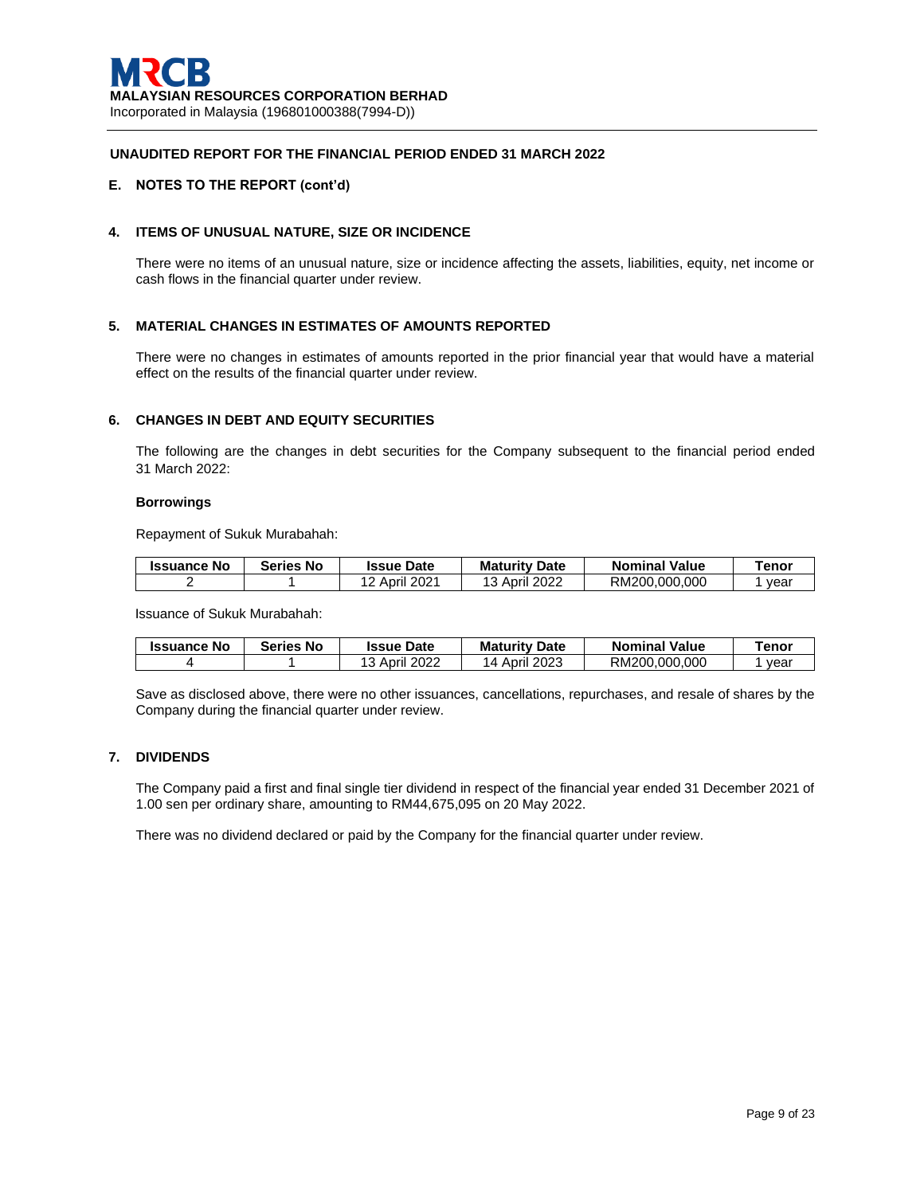## **E. NOTES TO THE REPORT (cont'd)**

## **4. ITEMS OF UNUSUAL NATURE, SIZE OR INCIDENCE**

There were no items of an unusual nature, size or incidence affecting the assets, liabilities, equity, net income or cash flows in the financial quarter under review.

## **5. MATERIAL CHANGES IN ESTIMATES OF AMOUNTS REPORTED**

There were no changes in estimates of amounts reported in the prior financial year that would have a material effect on the results of the financial quarter under review.

## **6. CHANGES IN DEBT AND EQUITY SECURITIES**

The following are the changes in debt securities for the Company subsequent to the financial period ended 31 March 2022:

#### **Borrowings**

Repayment of Sukuk Murabahah:

| <b>Issuance No</b> | <b>Series</b><br>No | <b>Issue Date</b> | <b>Maturity Date</b> | <b>Nominal Value</b> | Tenor |
|--------------------|---------------------|-------------------|----------------------|----------------------|-------|
|                    |                     | <b>April 2021</b> | 13 April 2022        | RM200.000.000        | vear  |

Issuance of Sukuk Murabahah:

| <b>Issuance No</b> | <b>Series No</b> | <b>Issue Date</b> | <b>Maturity Date</b> | <b>Nominal Value</b> | renor |
|--------------------|------------------|-------------------|----------------------|----------------------|-------|
|                    |                  | 13 April 2022     | 14 April 2023        | RM200.000.000        | vear  |

Save as disclosed above, there were no other issuances, cancellations, repurchases, and resale of shares by the Company during the financial quarter under review.

## **7. DIVIDENDS**

The Company paid a first and final single tier dividend in respect of the financial year ended 31 December 2021 of 1.00 sen per ordinary share, amounting to RM44,675,095 on 20 May 2022.

There was no dividend declared or paid by the Company for the financial quarter under review.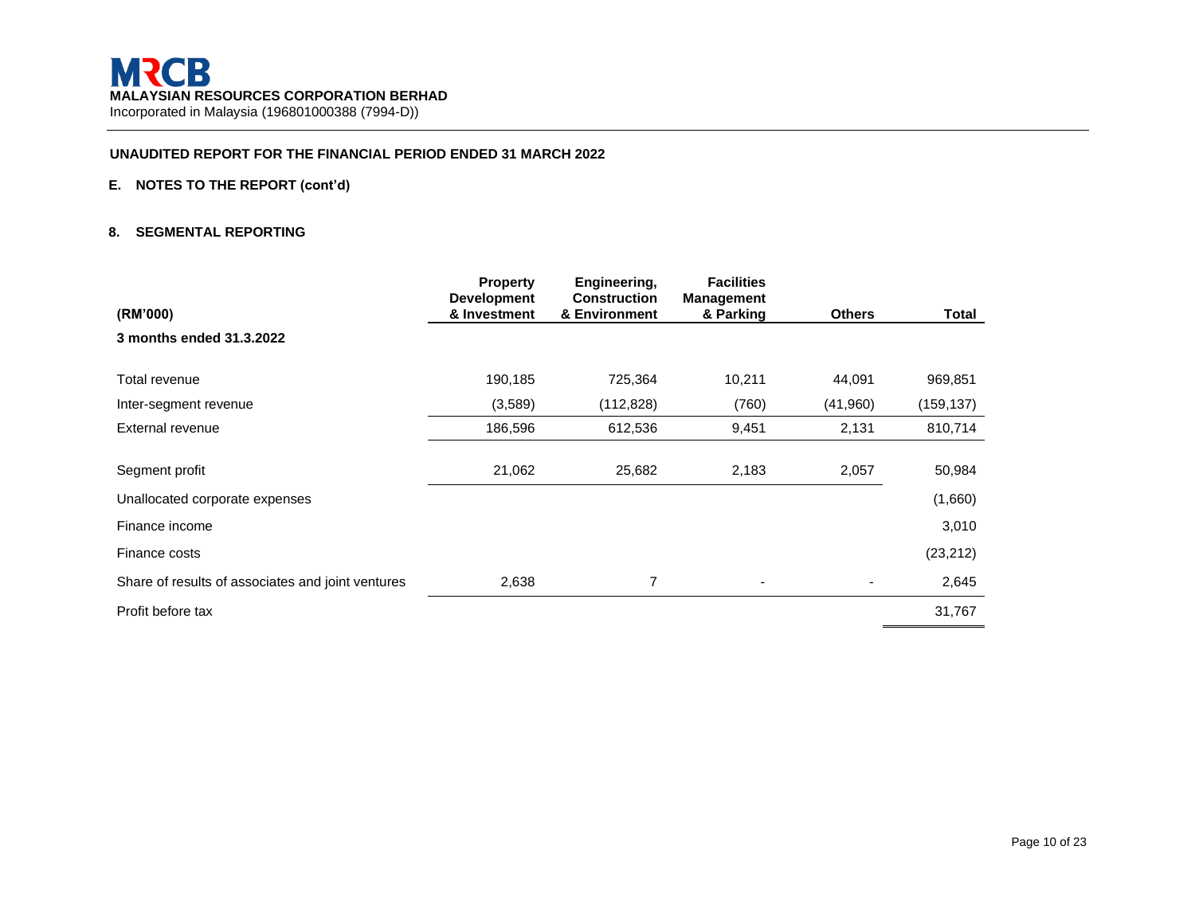# **E. NOTES TO THE REPORT (cont'd)**

### **8. SEGMENTAL REPORTING**

| (RM'000)                                          | <b>Property</b><br><b>Development</b><br>& Investment | Engineering,<br><b>Construction</b><br>& Environment | <b>Facilities</b><br><b>Management</b> | <b>Others</b> | <b>Total</b> |
|---------------------------------------------------|-------------------------------------------------------|------------------------------------------------------|----------------------------------------|---------------|--------------|
| 3 months ended 31.3.2022                          |                                                       |                                                      | & Parking                              |               |              |
| Total revenue                                     | 190,185                                               | 725,364                                              | 10,211                                 | 44,091        | 969,851      |
| Inter-segment revenue                             | (3,589)                                               | (112, 828)                                           | (760)                                  | (41,960)      | (159, 137)   |
| External revenue                                  | 186,596                                               | 612,536                                              | 9,451                                  | 2,131         | 810,714      |
| Segment profit                                    | 21,062                                                | 25,682                                               | 2,183                                  | 2,057         | 50,984       |
| Unallocated corporate expenses                    |                                                       |                                                      |                                        |               | (1,660)      |
| Finance income                                    |                                                       |                                                      |                                        |               | 3,010        |
| Finance costs                                     |                                                       |                                                      |                                        |               | (23, 212)    |
| Share of results of associates and joint ventures | 2,638                                                 | 7                                                    | ۰                                      |               | 2,645        |
| Profit before tax                                 |                                                       |                                                      |                                        |               | 31,767       |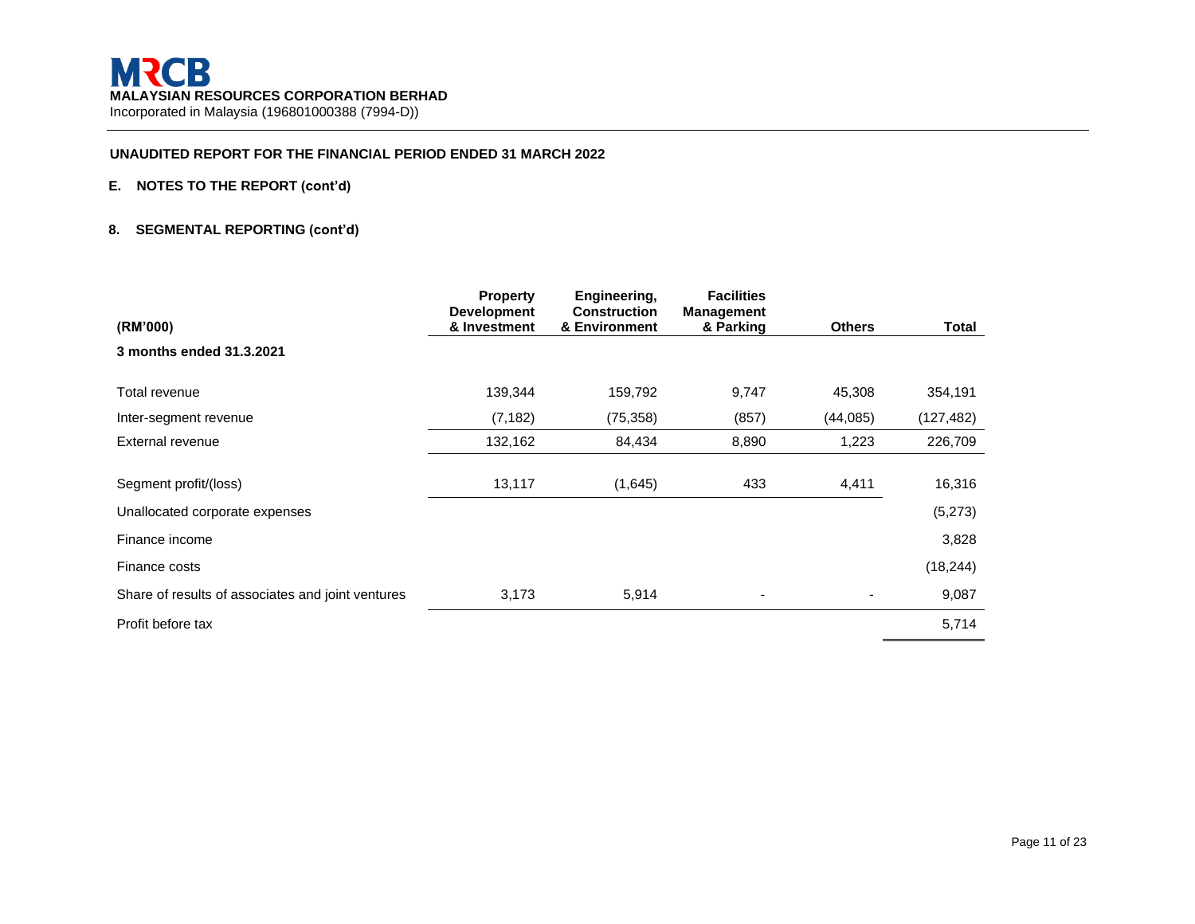# **E. NOTES TO THE REPORT (cont'd)**

## **8. SEGMENTAL REPORTING (cont'd)**

|                                                   | <b>Property</b><br><b>Development</b> | Engineering,<br><b>Construction</b> | <b>Facilities</b><br><b>Management</b> |               |            |
|---------------------------------------------------|---------------------------------------|-------------------------------------|----------------------------------------|---------------|------------|
| (RM'000)                                          | & Investment                          | & Environment                       | & Parking                              | <b>Others</b> | Total      |
| 3 months ended 31.3.2021                          |                                       |                                     |                                        |               |            |
| Total revenue                                     | 139,344                               | 159,792                             | 9,747                                  | 45,308        | 354,191    |
| Inter-segment revenue                             | (7, 182)                              | (75, 358)                           | (857)                                  | (44, 085)     | (127, 482) |
| External revenue                                  | 132,162                               | 84,434                              | 8,890                                  | 1,223         | 226,709    |
| Segment profit/(loss)                             | 13,117                                | (1,645)                             | 433                                    | 4,411         | 16,316     |
| Unallocated corporate expenses                    |                                       |                                     |                                        |               | (5,273)    |
| Finance income                                    |                                       |                                     |                                        |               | 3,828      |
| Finance costs                                     |                                       |                                     |                                        |               | (18, 244)  |
| Share of results of associates and joint ventures | 3,173                                 | 5,914                               | $\overline{\phantom{a}}$               |               | 9,087      |
| Profit before tax                                 |                                       |                                     |                                        |               | 5,714      |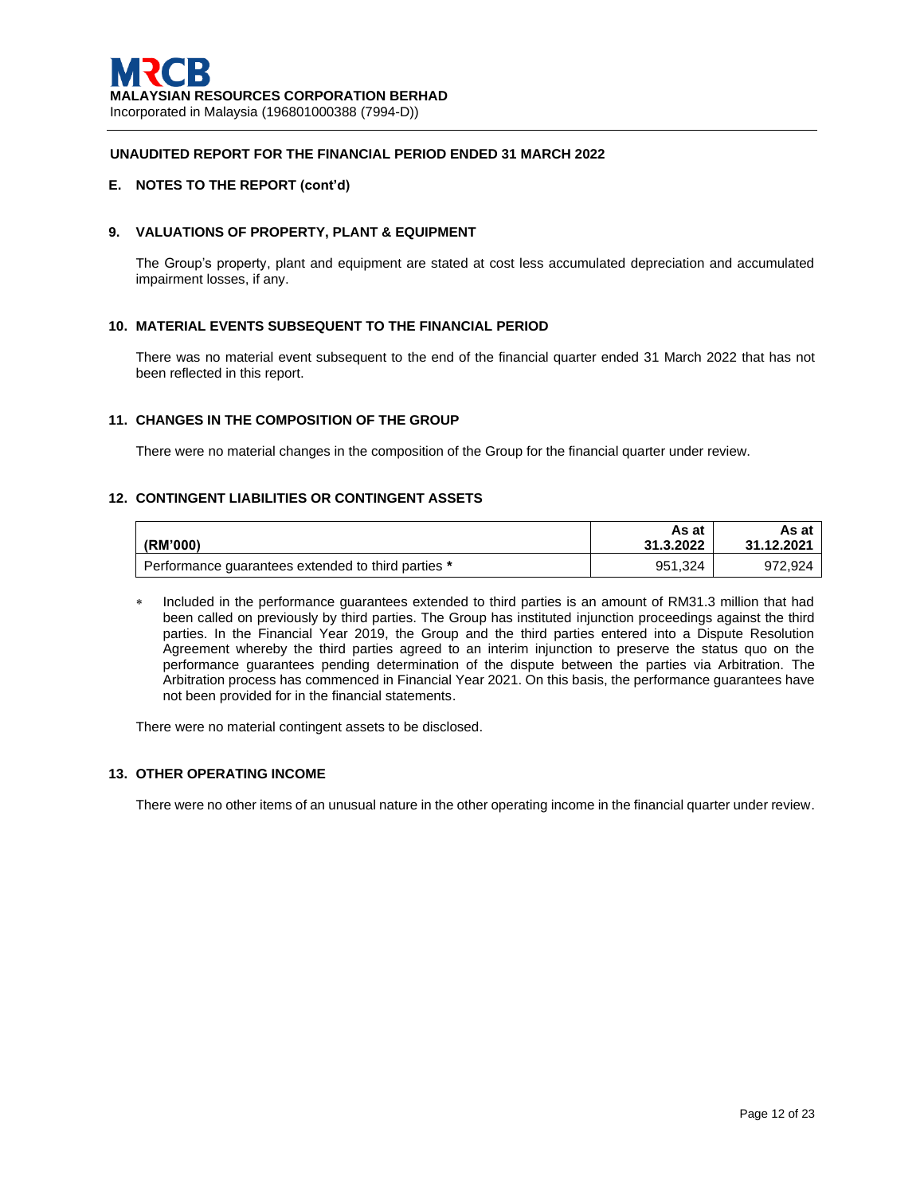### **E. NOTES TO THE REPORT (cont'd)**

## **9. VALUATIONS OF PROPERTY, PLANT & EQUIPMENT**

The Group's property, plant and equipment are stated at cost less accumulated depreciation and accumulated impairment losses, if any.

## **10. MATERIAL EVENTS SUBSEQUENT TO THE FINANCIAL PERIOD**

There was no material event subsequent to the end of the financial quarter ended 31 March 2022 that has not been reflected in this report.

## **11. CHANGES IN THE COMPOSITION OF THE GROUP**

There were no material changes in the composition of the Group for the financial quarter under review.

## **12. CONTINGENT LIABILITIES OR CONTINGENT ASSETS**

|                                                    | As at     | As at      |
|----------------------------------------------------|-----------|------------|
| (RM'000)                                           | 31.3.2022 | 31.12.2021 |
| Performance quarantees extended to third parties * | 951.324   | 972.924    |

 Included in the performance guarantees extended to third parties is an amount of RM31.3 million that had been called on previously by third parties. The Group has instituted injunction proceedings against the third parties. In the Financial Year 2019, the Group and the third parties entered into a Dispute Resolution Agreement whereby the third parties agreed to an interim injunction to preserve the status quo on the performance guarantees pending determination of the dispute between the parties via Arbitration. The Arbitration process has commenced in Financial Year 2021. On this basis, the performance guarantees have not been provided for in the financial statements.

There were no material contingent assets to be disclosed.

### **13. OTHER OPERATING INCOME**

There were no other items of an unusual nature in the other operating income in the financial quarter under review.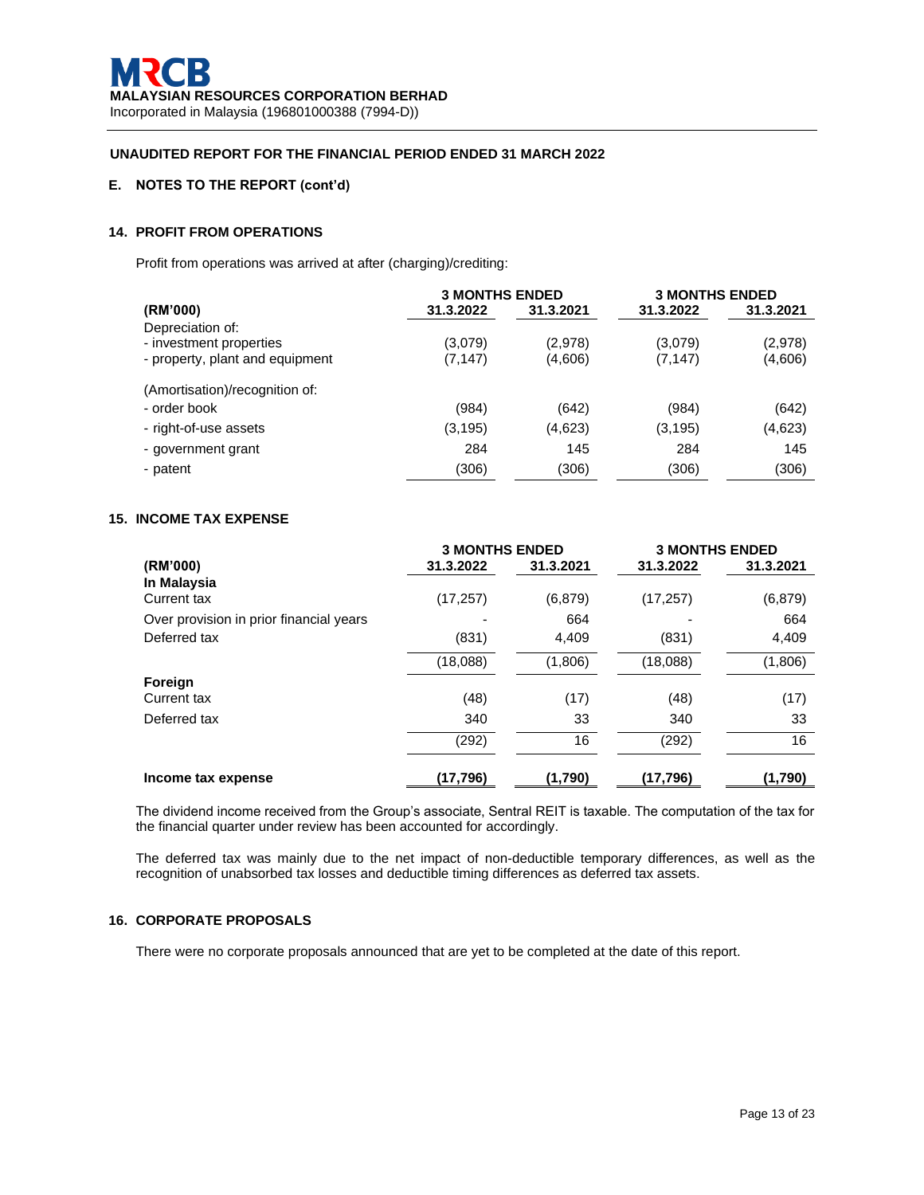# **E. NOTES TO THE REPORT (cont'd)**

# **14. PROFIT FROM OPERATIONS**

Profit from operations was arrived at after (charging)/crediting:

|                                 | <b>3 MONTHS ENDED</b> |           | <b>3 MONTHS ENDED</b> |           |
|---------------------------------|-----------------------|-----------|-----------------------|-----------|
| (RM'000)                        | 31.3.2022             | 31.3.2021 | 31.3.2022             | 31.3.2021 |
| Depreciation of:                |                       |           |                       |           |
| - investment properties         | (3,079)               | (2,978)   | (3,079)               | (2,978)   |
| - property, plant and equipment | (7, 147)              | (4,606)   | (7, 147)              | (4,606)   |
| (Amortisation)/recognition of:  |                       |           |                       |           |
| - order book                    | (984)                 | (642)     | (984)                 | (642)     |
| - right-of-use assets           | (3, 195)              | (4,623)   | (3, 195)              | (4,623)   |
| - government grant              | 284                   | 145       | 284                   | 145       |
| - patent                        | (306)                 | (306)     | (306)                 | (306)     |

## **15. INCOME TAX EXPENSE**

|                                         | <b>3 MONTHS ENDED</b> |           | <b>3 MONTHS ENDED</b> |           |
|-----------------------------------------|-----------------------|-----------|-----------------------|-----------|
| (RM'000)                                | 31.3.2022             | 31.3.2021 | 31.3.2022             | 31.3.2021 |
| In Malaysia<br><b>Current tax</b>       | (17, 257)             | (6, 879)  | (17, 257)             | (6, 879)  |
| Over provision in prior financial years |                       | 664       |                       | 664       |
| Deferred tax                            | (831)                 | 4,409     | (831)                 | 4,409     |
|                                         | (18,088)              | (1,806)   | (18,088)              | (1,806)   |
| Foreign                                 |                       |           |                       |           |
| Current tax                             | (48)                  | (17)      | (48)                  | (17)      |
| Deferred tax                            | 340                   | 33        | 340                   | 33        |
|                                         | (292)                 | 16        | (292)                 | 16        |
| Income tax expense                      | (17,796)              | (1.790)   | (17,796)              | (1,790)   |

The dividend income received from the Group's associate, Sentral REIT is taxable. The computation of the tax for the financial quarter under review has been accounted for accordingly.

The deferred tax was mainly due to the net impact of non-deductible temporary differences, as well as the recognition of unabsorbed tax losses and deductible timing differences as deferred tax assets.

## **16. CORPORATE PROPOSALS**

There were no corporate proposals announced that are yet to be completed at the date of this report.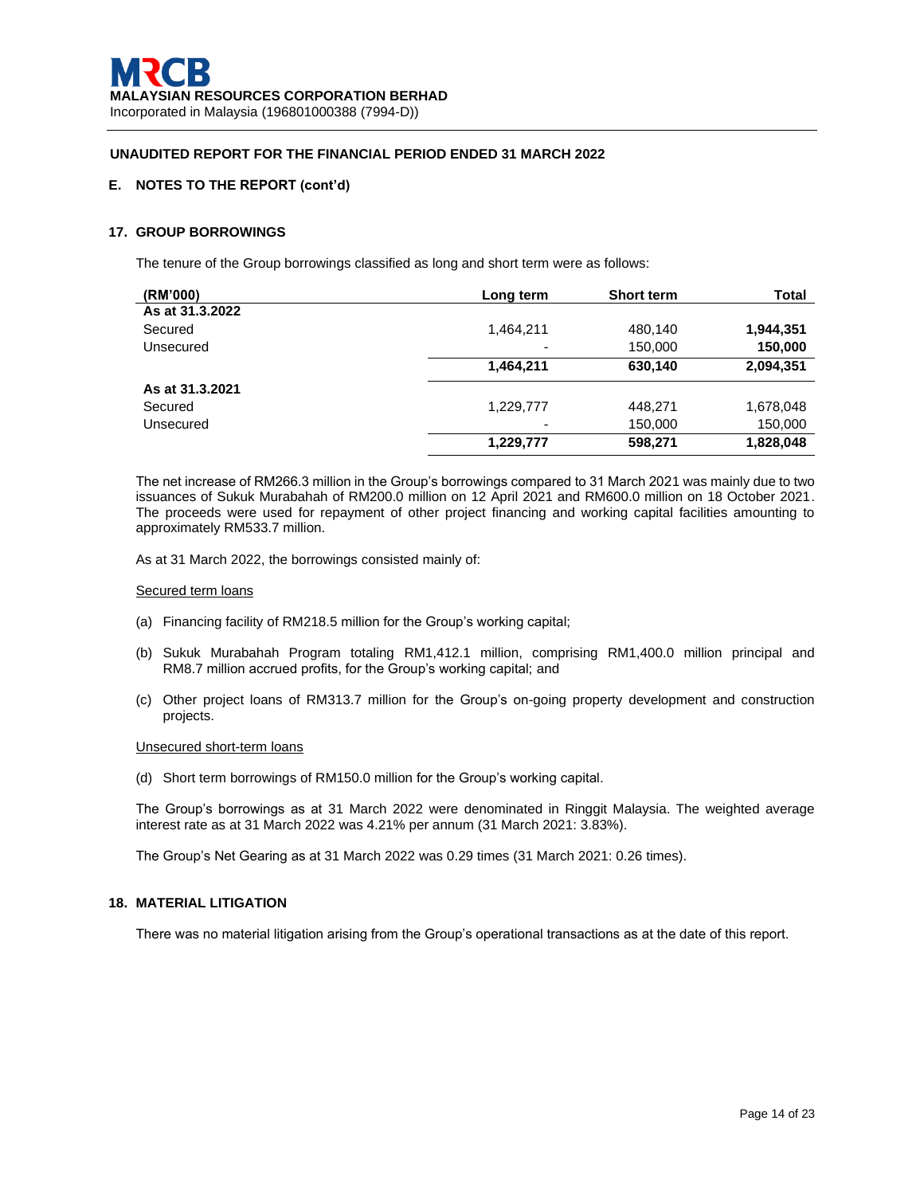## **E. NOTES TO THE REPORT (cont'd)**

### **17. GROUP BORROWINGS**

The tenure of the Group borrowings classified as long and short term were as follows:

| (RM'000)        | Long term | <b>Short term</b> | Total     |
|-----------------|-----------|-------------------|-----------|
| As at 31.3.2022 |           |                   |           |
| Secured         | 1,464,211 | 480,140           | 1,944,351 |
| Unsecured       | -         | 150,000           | 150,000   |
|                 | 1,464,211 | 630,140           | 2,094,351 |
| As at 31.3.2021 |           |                   |           |
| Secured         | 1,229,777 | 448,271           | 1,678,048 |
| Unsecured       | -         | 150,000           | 150,000   |
|                 | 1,229,777 | 598,271           | 1,828,048 |

The net increase of RM266.3 million in the Group's borrowings compared to 31 March 2021 was mainly due to two issuances of Sukuk Murabahah of RM200.0 million on 12 April 2021 and RM600.0 million on 18 October 2021. The proceeds were used for repayment of other project financing and working capital facilities amounting to approximately RM533.7 million.

As at 31 March 2022, the borrowings consisted mainly of:

#### Secured term loans

- (a) Financing facility of RM218.5 million for the Group's working capital;
- (b) Sukuk Murabahah Program totaling RM1,412.1 million, comprising RM1,400.0 million principal and RM8.7 million accrued profits, for the Group's working capital; and
- (c) Other project loans of RM313.7 million for the Group's on-going property development and construction projects.

## Unsecured short-term loans

(d) Short term borrowings of RM150.0 million for the Group's working capital.

The Group's borrowings as at 31 March 2022 were denominated in Ringgit Malaysia. The weighted average interest rate as at 31 March 2022 was 4.21% per annum (31 March 2021: 3.83%).

The Group's Net Gearing as at 31 March 2022 was 0.29 times (31 March 2021: 0.26 times).

#### **18. MATERIAL LITIGATION**

There was no material litigation arising from the Group's operational transactions as at the date of this report.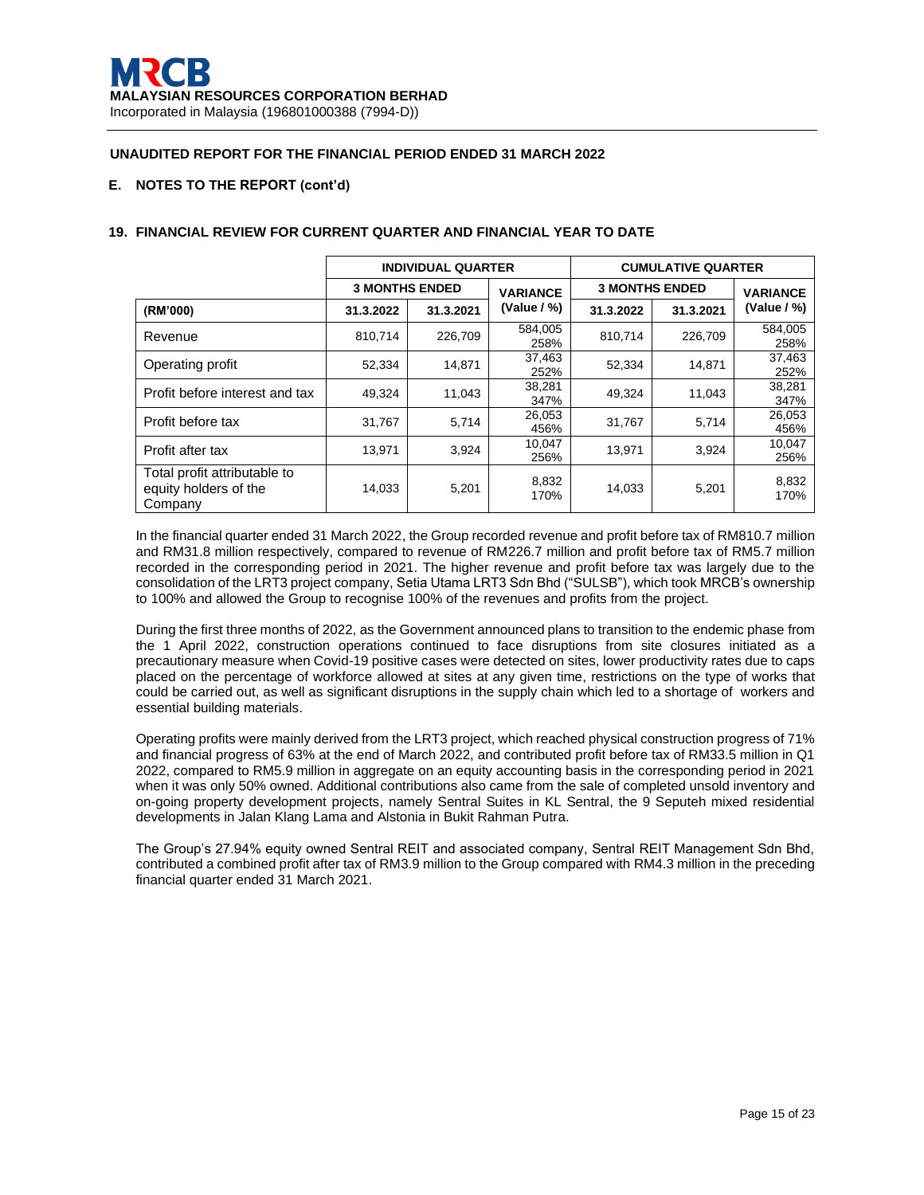## **E. NOTES TO THE REPORT (cont'd)**

|                                                                  | <b>INDIVIDUAL QUARTER</b> |                                          |                 | <b>CUMULATIVE QUARTER</b> |                 |                 |
|------------------------------------------------------------------|---------------------------|------------------------------------------|-----------------|---------------------------|-----------------|-----------------|
|                                                                  |                           | <b>3 MONTHS ENDED</b><br><b>VARIANCE</b> |                 | <b>3 MONTHS ENDED</b>     | <b>VARIANCE</b> |                 |
| (RM'000)                                                         | 31.3.2022                 | 31.3.2021                                | (Value / %)     | 31.3.2022                 | 31.3.2021       | (Value $/$ %)   |
| Revenue                                                          | 810,714                   | 226,709                                  | 584.005<br>258% | 810,714                   | 226,709         | 584,005<br>258% |
| Operating profit                                                 | 52,334                    | 14,871                                   | 37,463<br>252%  | 52,334                    | 14.871          | 37,463<br>252%  |
| Profit before interest and tax                                   | 49.324                    | 11,043                                   | 38,281<br>347%  | 49,324                    | 11.043          | 38,281<br>347%  |
| Profit before tax                                                | 31,767                    | 5,714                                    | 26,053<br>456%  | 31,767                    | 5,714           | 26,053<br>456%  |
| Profit after tax                                                 | 13,971                    | 3,924                                    | 10,047<br>256%  | 13,971                    | 3,924           | 10,047<br>256%  |
| Total profit attributable to<br>equity holders of the<br>Company | 14,033                    | 5,201                                    | 8,832<br>170%   | 14,033                    | 5,201           | 8,832<br>170%   |

## **19. FINANCIAL REVIEW FOR CURRENT QUARTER AND FINANCIAL YEAR TO DATE**

In the financial quarter ended 31 March 2022, the Group recorded revenue and profit before tax of RM810.7 million and RM31.8 million respectively, compared to revenue of RM226.7 million and profit before tax of RM5.7 million recorded in the corresponding period in 2021. The higher revenue and profit before tax was largely due to the consolidation of the LRT3 project company, Setia Utama LRT3 Sdn Bhd ("SULSB"), which took MRCB's ownership to 100% and allowed the Group to recognise 100% of the revenues and profits from the project.

During the first three months of 2022, as the Government announced plans to transition to the endemic phase from the 1 April 2022, construction operations continued to face disruptions from site closures initiated as a precautionary measure when Covid-19 positive cases were detected on sites, lower productivity rates due to caps placed on the percentage of workforce allowed at sites at any given time, restrictions on the type of works that could be carried out, as well as significant disruptions in the supply chain which led to a shortage of workers and essential building materials.

Operating profits were mainly derived from the LRT3 project, which reached physical construction progress of 71% and financial progress of 63% at the end of March 2022, and contributed profit before tax of RM33.5 million in Q1 2022, compared to RM5.9 million in aggregate on an equity accounting basis in the corresponding period in 2021 when it was only 50% owned. Additional contributions also came from the sale of completed unsold inventory and on-going property development projects, namely Sentral Suites in KL Sentral, the 9 Seputeh mixed residential developments in Jalan Klang Lama and Alstonia in Bukit Rahman Putra.

The Group's 27.94% equity owned Sentral REIT and associated company, Sentral REIT Management Sdn Bhd, contributed a combined profit after tax of RM3.9 million to the Group compared with RM4.3 million in the preceding financial quarter ended 31 March 2021.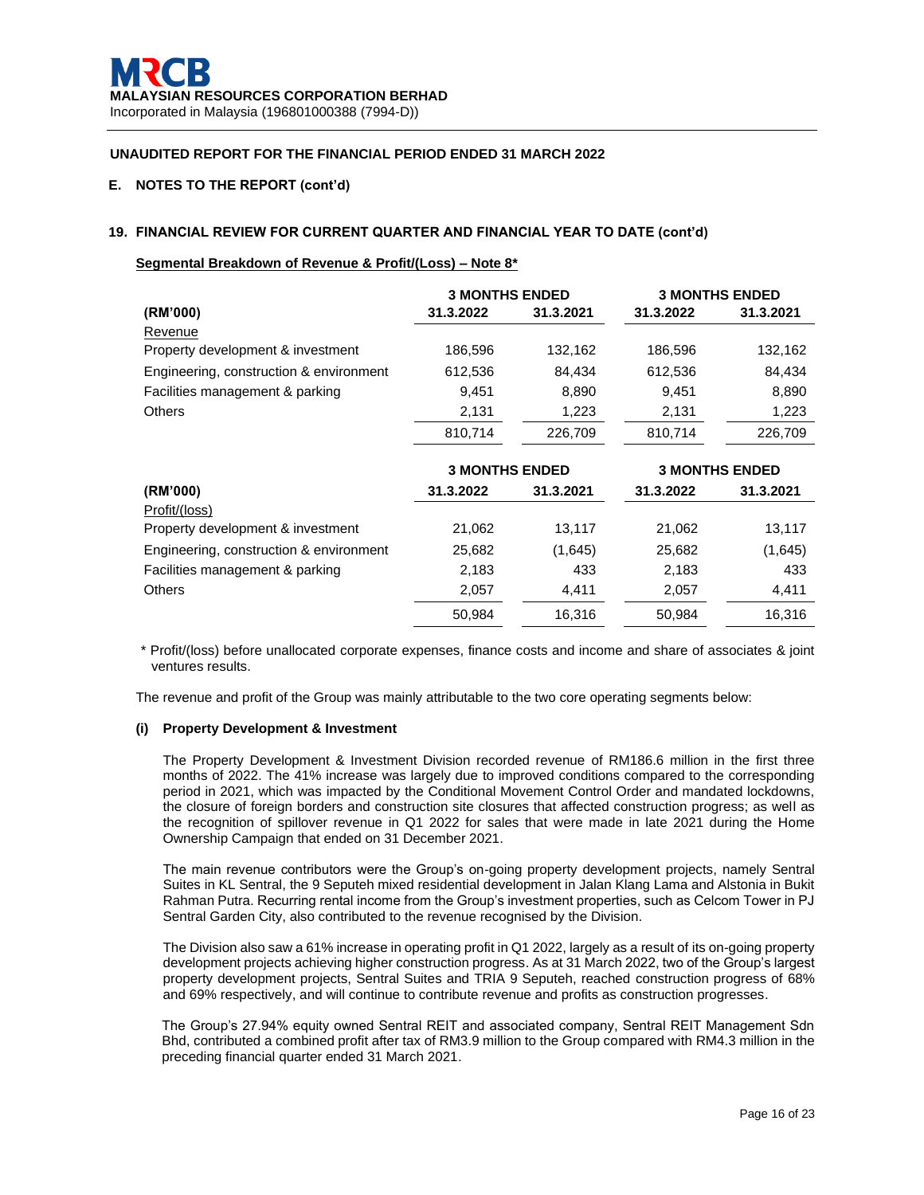## **E. NOTES TO THE REPORT (cont'd)**

## **19. FINANCIAL REVIEW FOR CURRENT QUARTER AND FINANCIAL YEAR TO DATE (cont'd)**

## **Segmental Breakdown of Revenue & Profit/(Loss) – Note 8\***

|                                         | <b>3 MONTHS ENDED</b> |           |           | <b>3 MONTHS ENDED</b> |
|-----------------------------------------|-----------------------|-----------|-----------|-----------------------|
| (RM'000)                                | 31.3.2022             | 31.3.2021 | 31.3.2022 | 31.3.2021             |
| Revenue                                 |                       |           |           |                       |
| Property development & investment       | 186,596               | 132,162   | 186,596   | 132,162               |
| Engineering, construction & environment | 612,536               | 84,434    | 612,536   | 84,434                |
| Facilities management & parking         | 9,451                 | 8,890     | 9,451     | 8,890                 |
| <b>Others</b>                           | 2,131                 | 1,223     | 2,131     | 1,223                 |
|                                         | 810,714               | 226,709   | 810,714   | 226,709               |
|                                         | <b>3 MONTHS ENDED</b> |           |           | <b>3 MONTHS ENDED</b> |
| (RM'000)                                | 31.3.2022             | 31.3.2021 | 31.3.2022 | 31.3.2021             |
| Profit/(loss)                           |                       |           |           |                       |
| Property development & investment       | 21,062                | 13,117    | 21,062    | 13,117                |
| Engineering, construction & environment | 25,682                | (1,645)   | 25,682    | (1,645)               |
| Facilities management & parking         | 2,183                 | 433       | 2,183     | 433                   |
| <b>Others</b>                           | 2,057                 | 4,411     | 2,057     | 4,411                 |
|                                         | 50,984                | 16,316    | 50,984    | 16,316                |

\* Profit/(loss) before unallocated corporate expenses, finance costs and income and share of associates & joint ventures results.

The revenue and profit of the Group was mainly attributable to the two core operating segments below:

#### **(i) Property Development & Investment**

The Property Development & Investment Division recorded revenue of RM186.6 million in the first three months of 2022. The 41% increase was largely due to improved conditions compared to the corresponding period in 2021, which was impacted by the Conditional Movement Control Order and mandated lockdowns, the closure of foreign borders and construction site closures that affected construction progress; as well as the recognition of spillover revenue in Q1 2022 for sales that were made in late 2021 during the Home Ownership Campaign that ended on 31 December 2021.

The main revenue contributors were the Group's on-going property development projects, namely Sentral Suites in KL Sentral, the 9 Seputeh mixed residential development in Jalan Klang Lama and Alstonia in Bukit Rahman Putra. Recurring rental income from the Group's investment properties, such as Celcom Tower in PJ Sentral Garden City, also contributed to the revenue recognised by the Division.

The Division also saw a 61% increase in operating profit in Q1 2022, largely as a result of its on-going property development projects achieving higher construction progress. As at 31 March 2022, two of the Group's largest property development projects, Sentral Suites and TRIA 9 Seputeh, reached construction progress of 68% and 69% respectively, and will continue to contribute revenue and profits as construction progresses.

The Group's 27.94% equity owned Sentral REIT and associated company, Sentral REIT Management Sdn Bhd, contributed a combined profit after tax of RM3.9 million to the Group compared with RM4.3 million in the preceding financial quarter ended 31 March 2021.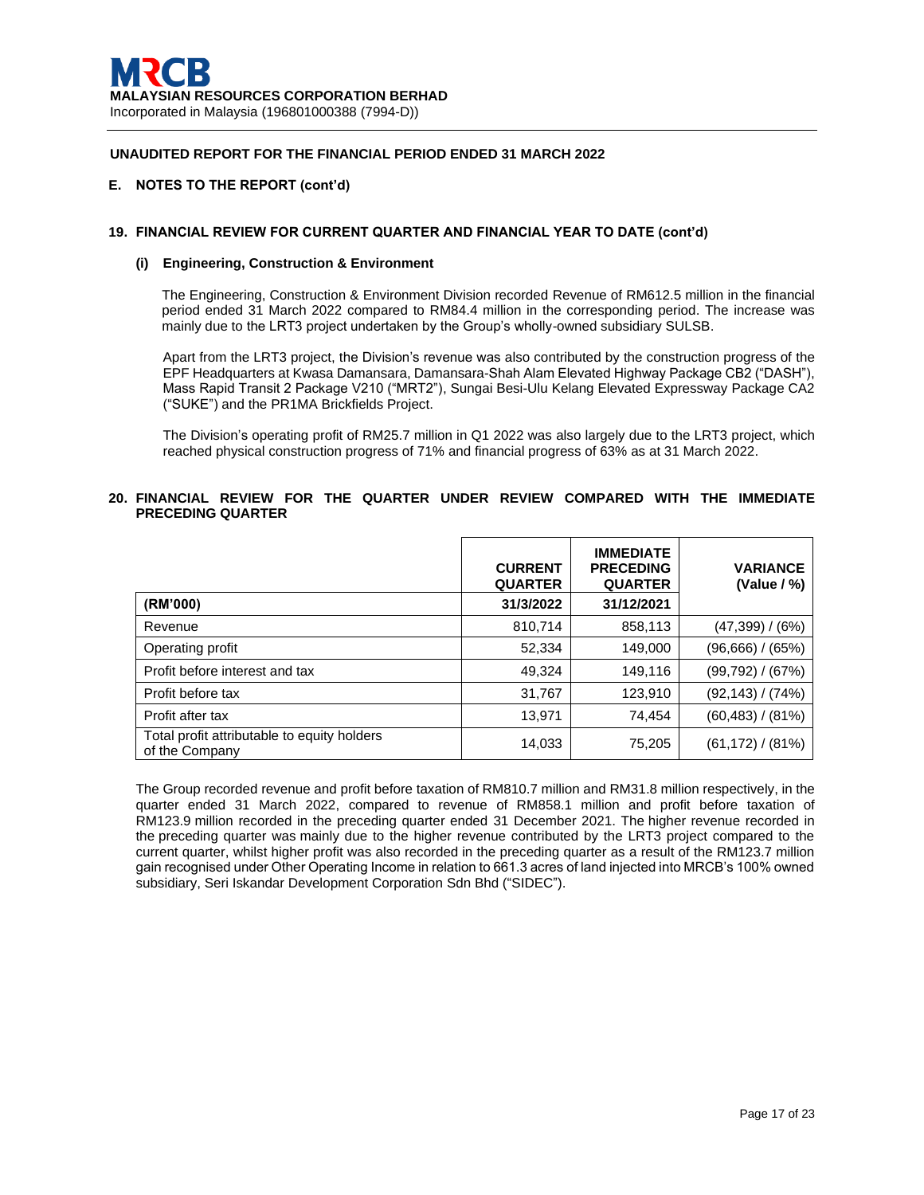### **E. NOTES TO THE REPORT (cont'd)**

## **19. FINANCIAL REVIEW FOR CURRENT QUARTER AND FINANCIAL YEAR TO DATE (cont'd)**

#### **(i) Engineering, Construction & Environment**

The Engineering, Construction & Environment Division recorded Revenue of RM612.5 million in the financial period ended 31 March 2022 compared to RM84.4 million in the corresponding period. The increase was mainly due to the LRT3 project undertaken by the Group's wholly-owned subsidiary SULSB.

Apart from the LRT3 project, the Division's revenue was also contributed by the construction progress of the EPF Headquarters at Kwasa Damansara, Damansara-Shah Alam Elevated Highway Package CB2 ("DASH"), Mass Rapid Transit 2 Package V210 ("MRT2"), Sungai Besi-Ulu Kelang Elevated Expressway Package CA2 ("SUKE") and the PR1MA Brickfields Project.

The Division's operating profit of RM25.7 million in Q1 2022 was also largely due to the LRT3 project, which reached physical construction progress of 71% and financial progress of 63% as at 31 March 2022.

## **20. FINANCIAL REVIEW FOR THE QUARTER UNDER REVIEW COMPARED WITH THE IMMEDIATE PRECEDING QUARTER**

|                                                               | <b>CURRENT</b><br><b>QUARTER</b> | <b>IMMEDIATE</b><br><b>PRECEDING</b><br><b>QUARTER</b> | <b>VARIANCE</b><br>(Value $/$ %) |
|---------------------------------------------------------------|----------------------------------|--------------------------------------------------------|----------------------------------|
| (RM'000)                                                      | 31/3/2022                        | 31/12/2021                                             |                                  |
| Revenue                                                       | 810,714                          | 858,113                                                | (47,399) / (6%)                  |
| Operating profit                                              | 52,334                           | 149,000                                                | (96,666) / (65%)                 |
| Profit before interest and tax                                | 49,324                           | 149,116                                                | (99,792) / (67%)                 |
| Profit before tax                                             | 31,767                           | 123,910                                                | (92,143) / (74%)                 |
| Profit after tax                                              | 13,971                           | 74,454                                                 | $(60, 483) / (81\%)$             |
| Total profit attributable to equity holders<br>of the Company | 14,033                           | 75,205                                                 | $(61, 172) / (81\%)$             |

The Group recorded revenue and profit before taxation of RM810.7 million and RM31.8 million respectively, in the quarter ended 31 March 2022, compared to revenue of RM858.1 million and profit before taxation of RM123.9 million recorded in the preceding quarter ended 31 December 2021. The higher revenue recorded in the preceding quarter was mainly due to the higher revenue contributed by the LRT3 project compared to the current quarter, whilst higher profit was also recorded in the preceding quarter as a result of the RM123.7 million gain recognised under Other Operating Income in relation to 661.3 acres of land injected into MRCB's 100% owned subsidiary, Seri Iskandar Development Corporation Sdn Bhd ("SIDEC").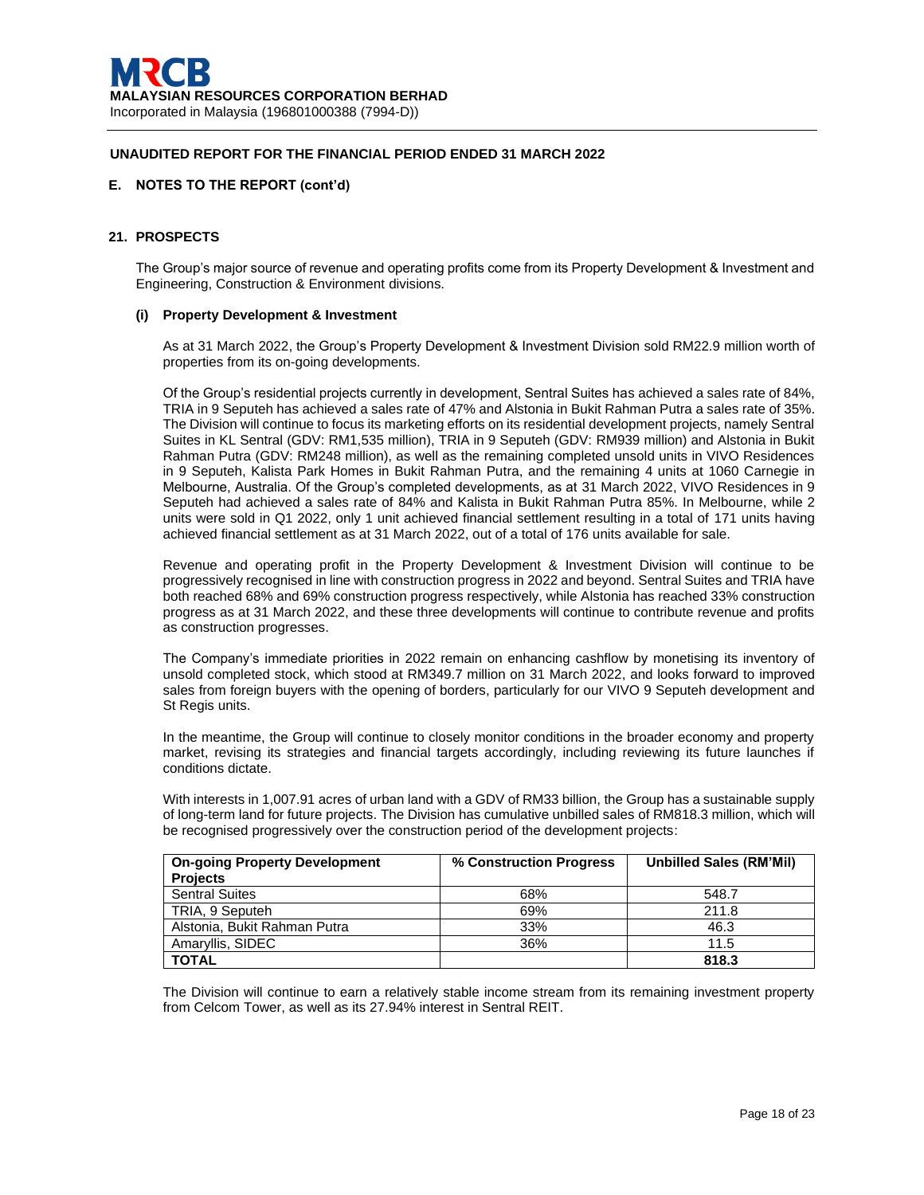## **E. NOTES TO THE REPORT (cont'd)**

### **21. PROSPECTS**

The Group's major source of revenue and operating profits come from its Property Development & Investment and Engineering, Construction & Environment divisions.

## **(i) Property Development & Investment**

As at 31 March 2022, the Group's Property Development & Investment Division sold RM22.9 million worth of properties from its on-going developments.

Of the Group's residential projects currently in development, Sentral Suites has achieved a sales rate of 84%, TRIA in 9 Seputeh has achieved a sales rate of 47% and Alstonia in Bukit Rahman Putra a sales rate of 35%. The Division will continue to focus its marketing efforts on its residential development projects, namely Sentral Suites in KL Sentral (GDV: RM1,535 million), TRIA in 9 Seputeh (GDV: RM939 million) and Alstonia in Bukit Rahman Putra (GDV: RM248 million), as well as the remaining completed unsold units in VIVO Residences in 9 Seputeh, Kalista Park Homes in Bukit Rahman Putra, and the remaining 4 units at 1060 Carnegie in Melbourne, Australia. Of the Group's completed developments, as at 31 March 2022, VIVO Residences in 9 Seputeh had achieved a sales rate of 84% and Kalista in Bukit Rahman Putra 85%. In Melbourne, while 2 units were sold in Q1 2022, only 1 unit achieved financial settlement resulting in a total of 171 units having achieved financial settlement as at 31 March 2022, out of a total of 176 units available for sale.

Revenue and operating profit in the Property Development & Investment Division will continue to be progressively recognised in line with construction progress in 2022 and beyond. Sentral Suites and TRIA have both reached 68% and 69% construction progress respectively, while Alstonia has reached 33% construction progress as at 31 March 2022, and these three developments will continue to contribute revenue and profits as construction progresses.

The Company's immediate priorities in 2022 remain on enhancing cashflow by monetising its inventory of unsold completed stock, which stood at RM349.7 million on 31 March 2022, and looks forward to improved sales from foreign buyers with the opening of borders, particularly for our VIVO 9 Seputeh development and St Regis units.

In the meantime, the Group will continue to closely monitor conditions in the broader economy and property market, revising its strategies and financial targets accordingly, including reviewing its future launches if conditions dictate.

With interests in 1,007.91 acres of urban land with a GDV of RM33 billion, the Group has a sustainable supply of long-term land for future projects. The Division has cumulative unbilled sales of RM818.3 million, which will be recognised progressively over the construction period of the development projects:

| <b>On-going Property Development</b> | % Construction Progress | <b>Unbilled Sales (RM'Mil)</b> |
|--------------------------------------|-------------------------|--------------------------------|
| <b>Projects</b>                      |                         |                                |
| <b>Sentral Suites</b>                | 68%                     | 548.7                          |
| TRIA, 9 Seputeh                      | 69%                     | 211.8                          |
| Alstonia, Bukit Rahman Putra         | 33%                     | 46.3                           |
| Amaryllis, SIDEC                     | 36%                     | 11.5                           |
| <b>TOTAL</b>                         |                         | 818.3                          |

The Division will continue to earn a relatively stable income stream from its remaining investment property from Celcom Tower, as well as its 27.94% interest in Sentral REIT.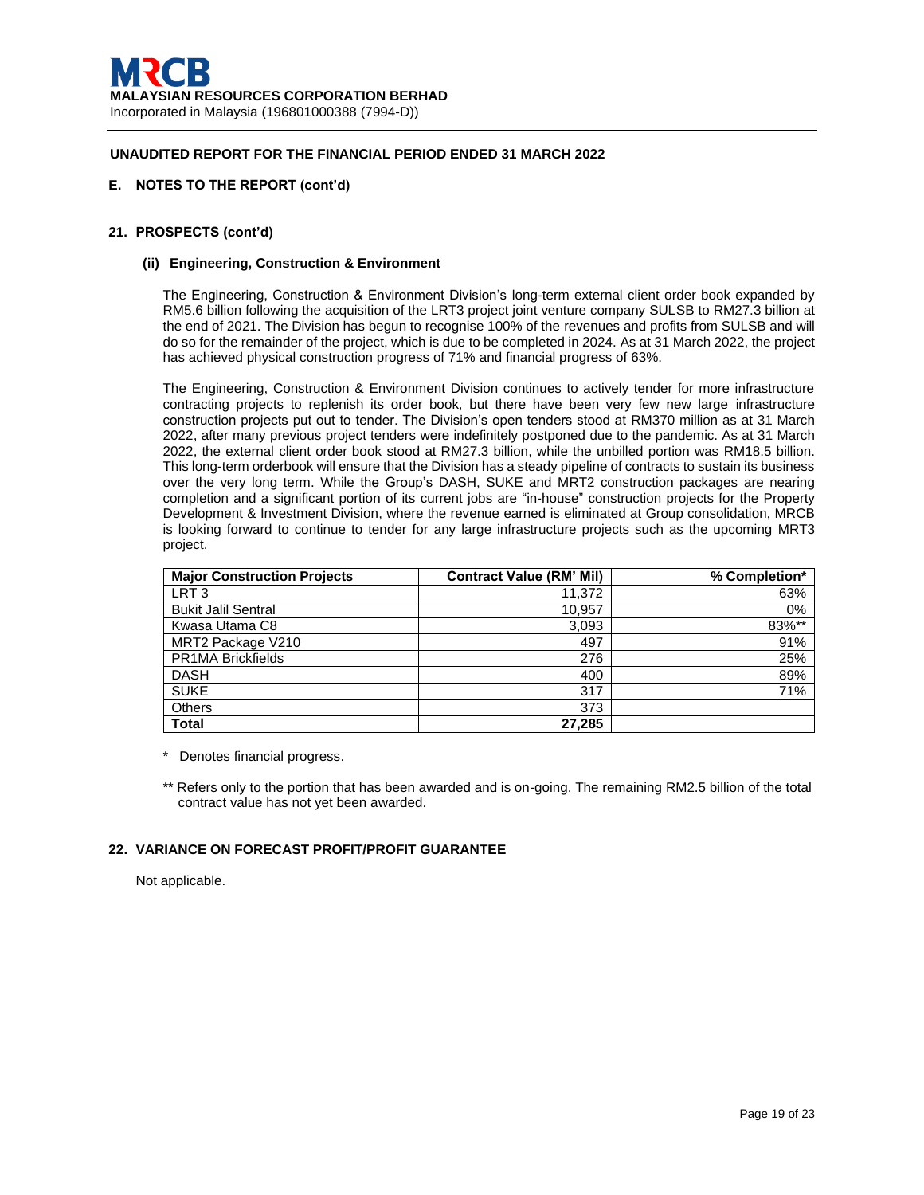## **E. NOTES TO THE REPORT (cont'd)**

## **21. PROSPECTS (cont'd)**

#### **(ii) Engineering, Construction & Environment**

The Engineering, Construction & Environment Division's long-term external client order book expanded by RM5.6 billion following the acquisition of the LRT3 project joint venture company SULSB to RM27.3 billion at the end of 2021. The Division has begun to recognise 100% of the revenues and profits from SULSB and will do so for the remainder of the project, which is due to be completed in 2024. As at 31 March 2022, the project has achieved physical construction progress of 71% and financial progress of 63%.

The Engineering, Construction & Environment Division continues to actively tender for more infrastructure contracting projects to replenish its order book, but there have been very few new large infrastructure construction projects put out to tender. The Division's open tenders stood at RM370 million as at 31 March 2022, after many previous project tenders were indefinitely postponed due to the pandemic. As at 31 March 2022, the external client order book stood at RM27.3 billion, while the unbilled portion was RM18.5 billion. This long-term orderbook will ensure that the Division has a steady pipeline of contracts to sustain its business over the very long term. While the Group's DASH, SUKE and MRT2 construction packages are nearing completion and a significant portion of its current jobs are "in-house" construction projects for the Property Development & Investment Division, where the revenue earned is eliminated at Group consolidation, MRCB is looking forward to continue to tender for any large infrastructure projects such as the upcoming MRT3 project.

| <b>Major Construction Projects</b> | <b>Contract Value (RM' Mil)</b> | % Completion* |
|------------------------------------|---------------------------------|---------------|
| LRT <sub>3</sub>                   | 11,372                          | 63%           |
| <b>Bukit Jalil Sentral</b>         | 10,957                          | 0%            |
| Kwasa Utama C8                     | 3,093                           | 83%**         |
| MRT2 Package V210                  | 497                             | 91%           |
| <b>PR1MA Brickfields</b>           | 276                             | 25%           |
| <b>DASH</b>                        | 400                             | 89%           |
| <b>SUKE</b>                        | 317                             | 71%           |
| <b>Others</b>                      | 373                             |               |
| <b>Total</b>                       | 27,285                          |               |

\* Denotes financial progress.

\*\* Refers only to the portion that has been awarded and is on-going. The remaining RM2.5 billion of the total contract value has not yet been awarded.

## **22. VARIANCE ON FORECAST PROFIT/PROFIT GUARANTEE**

Not applicable.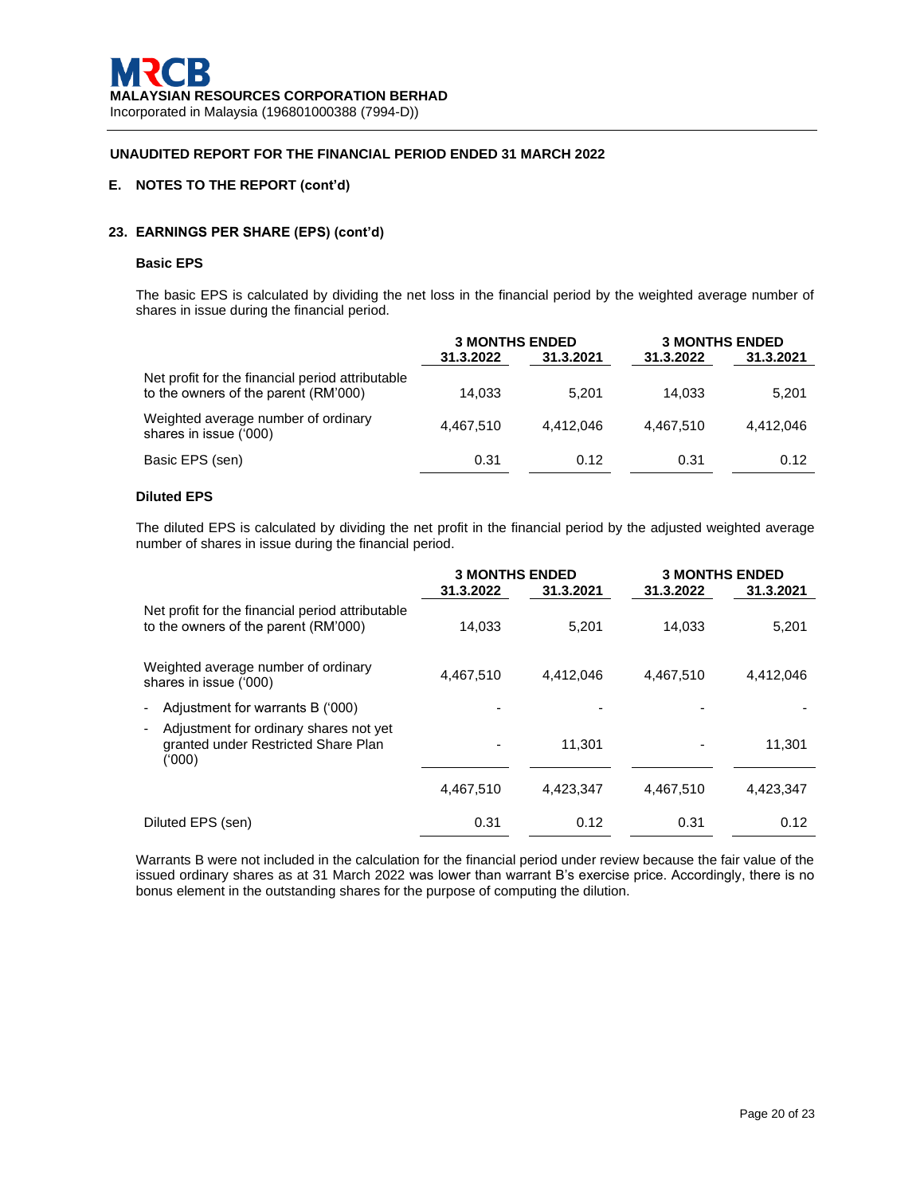# **E. NOTES TO THE REPORT (cont'd)**

## **23. EARNINGS PER SHARE (EPS) (cont'd)**

### **Basic EPS**

The basic EPS is calculated by dividing the net loss in the financial period by the weighted average number of shares in issue during the financial period.

|                                                                                          | <b>3 MONTHS ENDED</b> |           | <b>3 MONTHS ENDED</b> |           |
|------------------------------------------------------------------------------------------|-----------------------|-----------|-----------------------|-----------|
|                                                                                          | 31.3.2022             | 31.3.2021 | 31.3.2022             | 31.3.2021 |
| Net profit for the financial period attributable<br>to the owners of the parent (RM'000) | 14.033                | 5.201     | 14.033                | 5,201     |
| Weighted average number of ordinary<br>shares in issue ('000)                            | 4.467.510             | 4.412.046 | 4.467.510             | 4.412.046 |
| Basic EPS (sen)                                                                          | 0.31                  | 0.12      | 0.31                  | 0.12      |

## **Diluted EPS**

The diluted EPS is calculated by dividing the net profit in the financial period by the adjusted weighted average number of shares in issue during the financial period.

|                                                                                                          | <b>3 MONTHS ENDED</b> |           | <b>3 MONTHS ENDED</b> |           |
|----------------------------------------------------------------------------------------------------------|-----------------------|-----------|-----------------------|-----------|
|                                                                                                          | 31.3.2022             | 31.3.2021 | 31.3.2022             | 31.3.2021 |
| Net profit for the financial period attributable<br>to the owners of the parent (RM'000)                 | 14,033                | 5,201     | 14,033                | 5,201     |
| Weighted average number of ordinary<br>shares in issue ('000)                                            | 4.467.510             | 4.412.046 | 4.467.510             | 4,412,046 |
| Adjustment for warrants B ('000)<br>$\overline{a}$                                                       |                       |           |                       |           |
| Adjustment for ordinary shares not yet<br>$\overline{a}$<br>granted under Restricted Share Plan<br>(000) |                       | 11.301    |                       | 11.301    |
|                                                                                                          | 4,467,510             | 4,423,347 | 4.467.510             | 4,423,347 |
| Diluted EPS (sen)                                                                                        | 0.31                  | 0.12      | 0.31                  | 0.12      |

Warrants B were not included in the calculation for the financial period under review because the fair value of the issued ordinary shares as at 31 March 2022 was lower than warrant B's exercise price. Accordingly, there is no bonus element in the outstanding shares for the purpose of computing the dilution.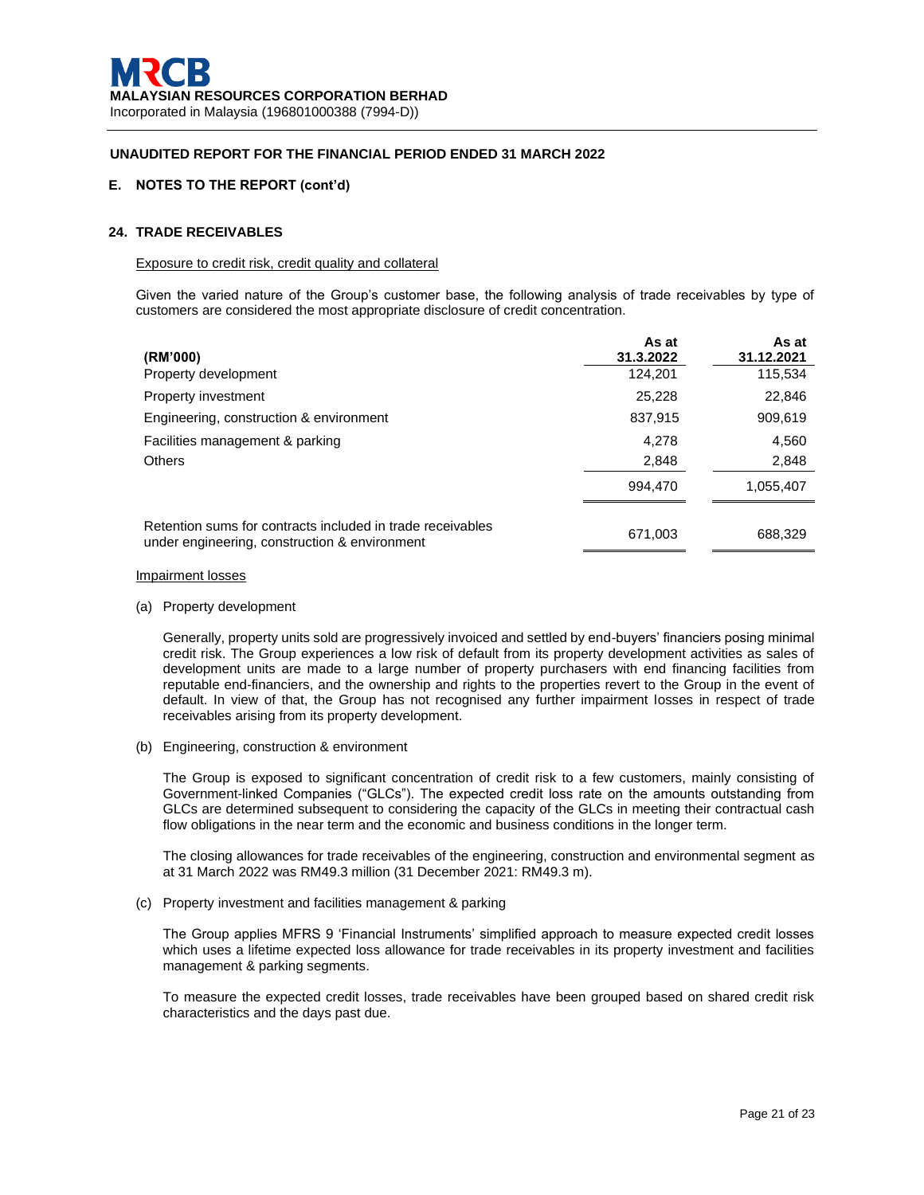## **E. NOTES TO THE REPORT (cont'd)**

## **24. TRADE RECEIVABLES**

#### Exposure to credit risk, credit quality and collateral

Given the varied nature of the Group's customer base, the following analysis of trade receivables by type of customers are considered the most appropriate disclosure of credit concentration.

| (RM'000)                                                                                                    | As at<br>31.3.2022 | As at<br>31.12.2021 |
|-------------------------------------------------------------------------------------------------------------|--------------------|---------------------|
| Property development                                                                                        | 124,201            | 115,534             |
| Property investment                                                                                         | 25,228             | 22,846              |
| Engineering, construction & environment                                                                     | 837,915            | 909,619             |
| Facilities management & parking                                                                             | 4,278              | 4,560               |
| <b>Others</b>                                                                                               | 2,848              | 2,848               |
|                                                                                                             | 994.470            | 1,055,407           |
| Retention sums for contracts included in trade receivables<br>under engineering, construction & environment | 671,003            | 688,329             |

#### Impairment losses

(a) Property development

Generally, property units sold are progressively invoiced and settled by end-buyers' financiers posing minimal credit risk. The Group experiences a low risk of default from its property development activities as sales of development units are made to a large number of property purchasers with end financing facilities from reputable end-financiers, and the ownership and rights to the properties revert to the Group in the event of default. In view of that, the Group has not recognised any further impairment losses in respect of trade receivables arising from its property development.

(b) Engineering, construction & environment

The Group is exposed to significant concentration of credit risk to a few customers, mainly consisting of Government-linked Companies ("GLCs"). The expected credit loss rate on the amounts outstanding from GLCs are determined subsequent to considering the capacity of the GLCs in meeting their contractual cash flow obligations in the near term and the economic and business conditions in the longer term.

The closing allowances for trade receivables of the engineering, construction and environmental segment as at 31 March 2022 was RM49.3 million (31 December 2021: RM49.3 m).

(c) Property investment and facilities management & parking

The Group applies MFRS 9 'Financial Instruments' simplified approach to measure expected credit losses which uses a lifetime expected loss allowance for trade receivables in its property investment and facilities management & parking segments.

To measure the expected credit losses, trade receivables have been grouped based on shared credit risk characteristics and the days past due.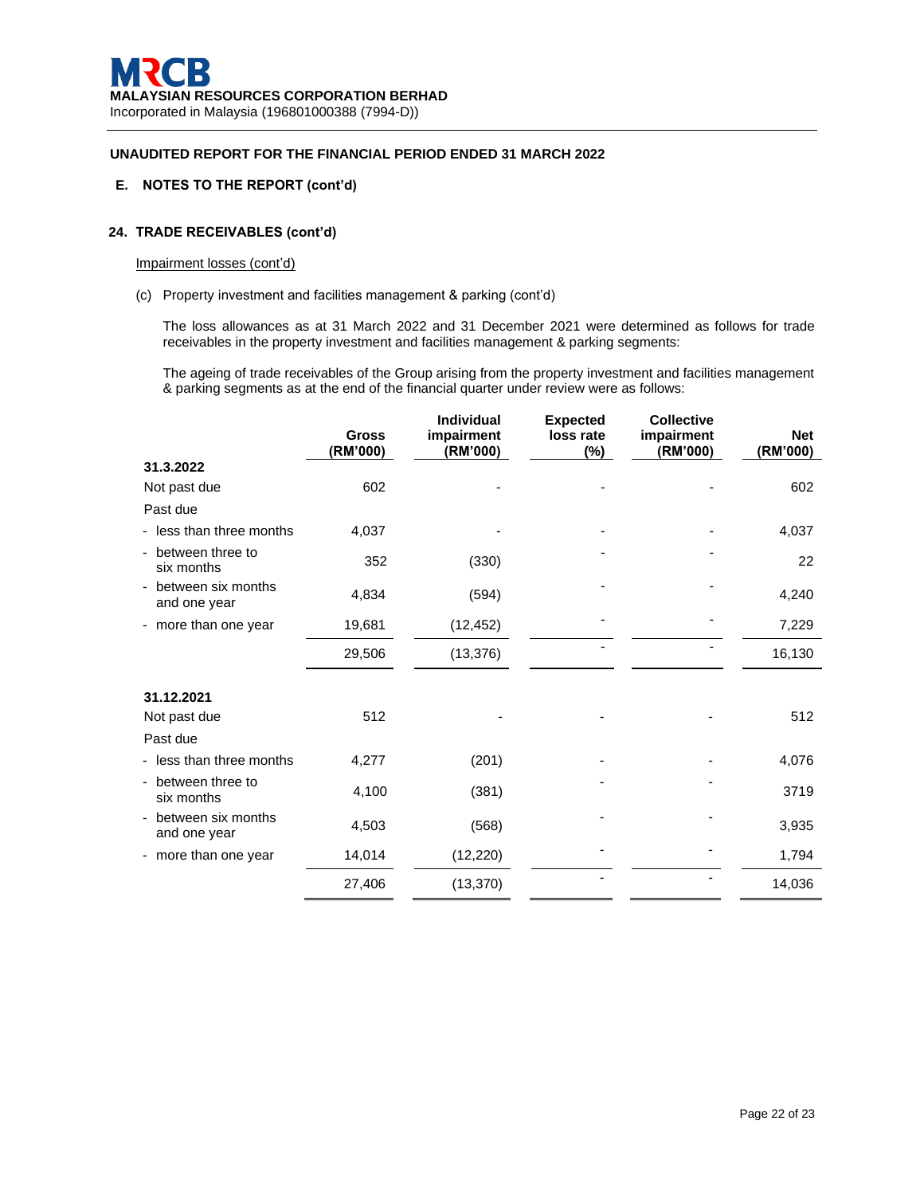## **E. NOTES TO THE REPORT (cont'd)**

# **24. TRADE RECEIVABLES (cont'd)**

#### Impairment losses (cont'd)

(c) Property investment and facilities management & parking (cont'd)

The loss allowances as at 31 March 2022 and 31 December 2021 were determined as follows for trade receivables in the property investment and facilities management & parking segments:

The ageing of trade receivables of the Group arising from the property investment and facilities management & parking segments as at the end of the financial quarter under review were as follows:

|                                    | <b>Gross</b><br>(RM'000) | <b>Individual</b><br>impairment<br>(RM'000) | <b>Expected</b><br>loss rate<br>$(\%)$ | <b>Collective</b><br>impairment<br>(RM'000) | <b>Net</b><br>(RM'000) |
|------------------------------------|--------------------------|---------------------------------------------|----------------------------------------|---------------------------------------------|------------------------|
| 31.3.2022                          |                          |                                             |                                        |                                             |                        |
| Not past due                       | 602                      |                                             |                                        |                                             | 602                    |
| Past due                           |                          |                                             |                                        |                                             |                        |
| - less than three months           | 4,037                    |                                             |                                        |                                             | 4,037                  |
| - between three to<br>six months   | 352                      | (330)                                       |                                        |                                             | 22                     |
| between six months<br>and one year | 4,834                    | (594)                                       |                                        |                                             | 4,240                  |
| - more than one year               | 19,681                   | (12, 452)                                   |                                        |                                             | 7,229                  |
|                                    | 29,506                   | (13, 376)                                   |                                        |                                             | 16,130                 |
| 31.12.2021                         |                          |                                             |                                        |                                             |                        |
| Not past due                       | 512                      |                                             |                                        |                                             | 512                    |
| Past due                           |                          |                                             |                                        |                                             |                        |
| - less than three months           | 4,277                    | (201)                                       |                                        |                                             | 4,076                  |
| between three to<br>six months     | 4,100                    | (381)                                       |                                        |                                             | 3719                   |
| between six months<br>and one year | 4,503                    | (568)                                       |                                        |                                             | 3,935                  |
| - more than one year               | 14,014                   | (12, 220)                                   |                                        |                                             | 1,794                  |
|                                    | 27,406                   | (13, 370)                                   |                                        |                                             | 14,036                 |